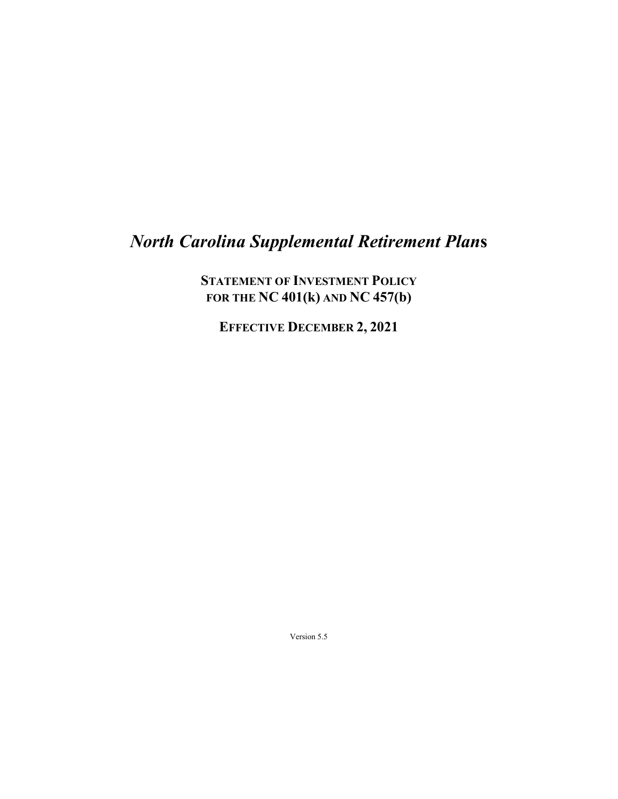# *North Carolina Supplemental Retirement Plan***s**

**STATEMENT OF INVESTMENT POLICY FOR THE NC 401(k) AND NC 457(b)**

**EFFECTIVE DECEMBER 2, 2021**

Version 5.5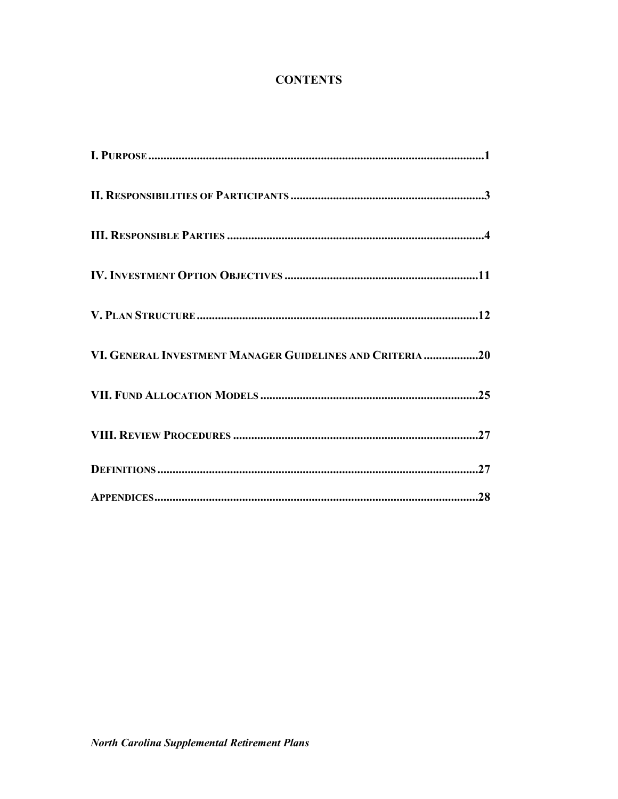## **CONTENTS**

| VI. GENERAL INVESTMENT MANAGER GUIDELINES AND CRITERIA 20 |
|-----------------------------------------------------------|
|                                                           |
|                                                           |
|                                                           |
|                                                           |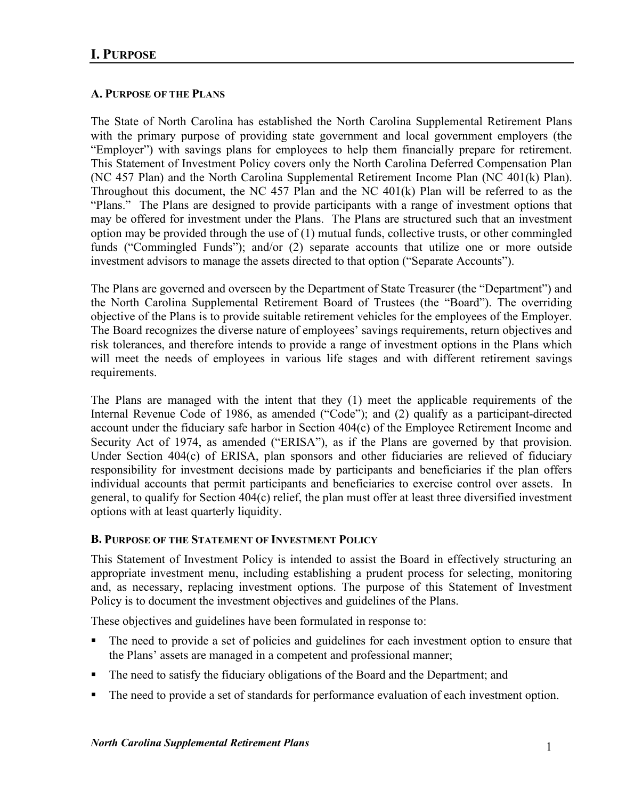## **A. PURPOSE OF THE PLANS**

The State of North Carolina has established the North Carolina Supplemental Retirement Plans with the primary purpose of providing state government and local government employers (the "Employer") with savings plans for employees to help them financially prepare for retirement. This Statement of Investment Policy covers only the North Carolina Deferred Compensation Plan (NC 457 Plan) and the North Carolina Supplemental Retirement Income Plan (NC 401(k) Plan). Throughout this document, the NC 457 Plan and the NC 401(k) Plan will be referred to as the "Plans." The Plans are designed to provide participants with a range of investment options that may be offered for investment under the Plans. The Plans are structured such that an investment option may be provided through the use of (1) mutual funds, collective trusts, or other commingled funds ("Commingled Funds"); and/or (2) separate accounts that utilize one or more outside investment advisors to manage the assets directed to that option ("Separate Accounts").

The Plans are governed and overseen by the Department of State Treasurer (the "Department") and the North Carolina Supplemental Retirement Board of Trustees (the "Board"). The overriding objective of the Plans is to provide suitable retirement vehicles for the employees of the Employer. The Board recognizes the diverse nature of employees' savings requirements, return objectives and risk tolerances, and therefore intends to provide a range of investment options in the Plans which will meet the needs of employees in various life stages and with different retirement savings requirements.

The Plans are managed with the intent that they (1) meet the applicable requirements of the Internal Revenue Code of 1986, as amended ("Code"); and (2) qualify as a participant-directed account under the fiduciary safe harbor in Section 404(c) of the Employee Retirement Income and Security Act of 1974, as amended ("ERISA"), as if the Plans are governed by that provision. Under Section 404(c) of ERISA, plan sponsors and other fiduciaries are relieved of fiduciary responsibility for investment decisions made by participants and beneficiaries if the plan offers individual accounts that permit participants and beneficiaries to exercise control over assets. In general, to qualify for Section 404(c) relief, the plan must offer at least three diversified investment options with at least quarterly liquidity.

#### **B. PURPOSE OF THE STATEMENT OF INVESTMENT POLICY**

This Statement of Investment Policy is intended to assist the Board in effectively structuring an appropriate investment menu, including establishing a prudent process for selecting, monitoring and, as necessary, replacing investment options. The purpose of this Statement of Investment Policy is to document the investment objectives and guidelines of the Plans.

These objectives and guidelines have been formulated in response to:

- The need to provide a set of policies and guidelines for each investment option to ensure that the Plans' assets are managed in a competent and professional manner;
- The need to satisfy the fiduciary obligations of the Board and the Department; and
- The need to provide a set of standards for performance evaluation of each investment option.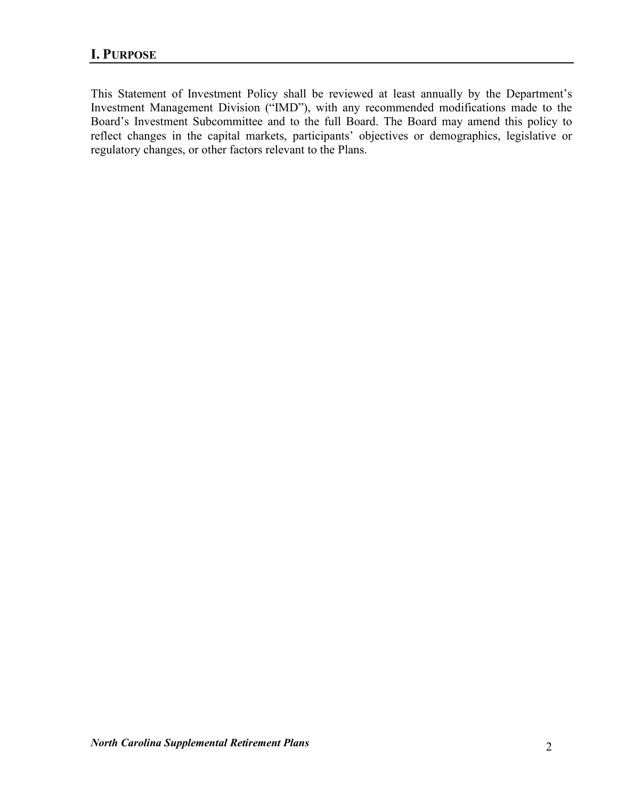This Statement of Investment Policy shall be reviewed at least annually by the Department's Investment Management Division ("IMD"), with any recommended modifications made to the Board's Investment Subcommittee and to the full Board. The Board may amend this policy to reflect changes in the capital markets, participants' objectives or demographics, legislative or regulatory changes, or other factors relevant to the Plans.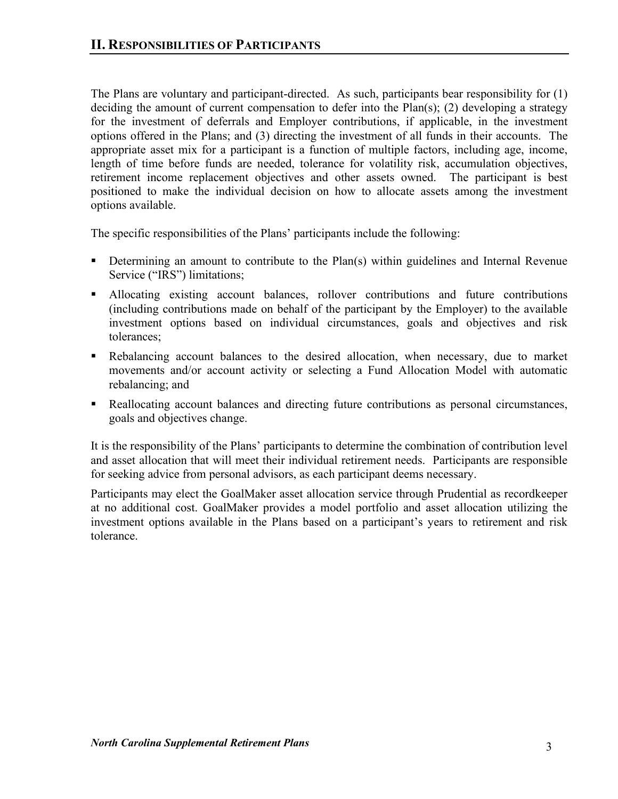The Plans are voluntary and participant-directed. As such, participants bear responsibility for (1) deciding the amount of current compensation to defer into the Plan(s); (2) developing a strategy for the investment of deferrals and Employer contributions, if applicable, in the investment options offered in the Plans; and (3) directing the investment of all funds in their accounts. The appropriate asset mix for a participant is a function of multiple factors, including age, income, length of time before funds are needed, tolerance for volatility risk, accumulation objectives, retirement income replacement objectives and other assets owned. The participant is best positioned to make the individual decision on how to allocate assets among the investment options available.

The specific responsibilities of the Plans' participants include the following:

- Determining an amount to contribute to the Plan(s) within guidelines and Internal Revenue Service ("IRS") limitations;
- Allocating existing account balances, rollover contributions and future contributions (including contributions made on behalf of the participant by the Employer) to the available investment options based on individual circumstances, goals and objectives and risk tolerances;
- Rebalancing account balances to the desired allocation, when necessary, due to market movements and/or account activity or selecting a Fund Allocation Model with automatic rebalancing; and
- Reallocating account balances and directing future contributions as personal circumstances, goals and objectives change.

It is the responsibility of the Plans' participants to determine the combination of contribution level and asset allocation that will meet their individual retirement needs. Participants are responsible for seeking advice from personal advisors, as each participant deems necessary.

Participants may elect the GoalMaker asset allocation service through Prudential as recordkeeper at no additional cost. GoalMaker provides a model portfolio and asset allocation utilizing the investment options available in the Plans based on a participant's years to retirement and risk tolerance.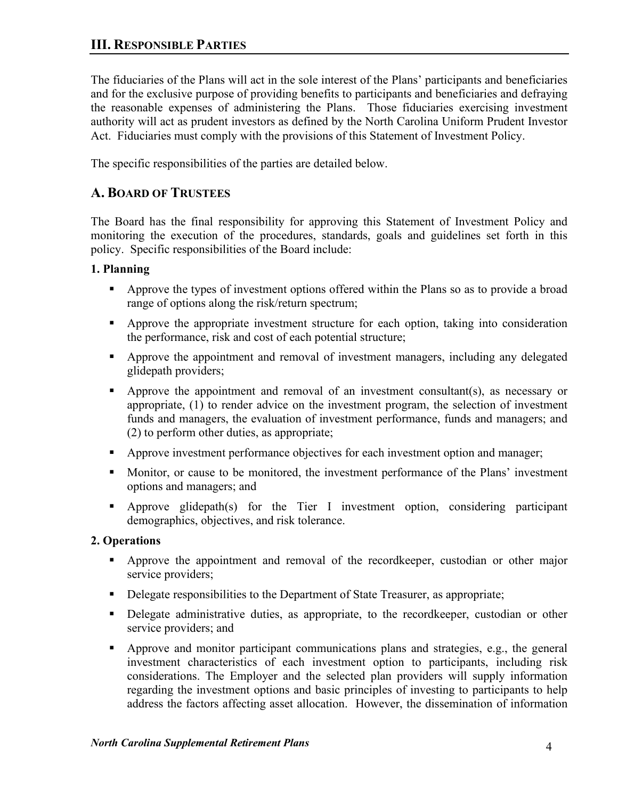The fiduciaries of the Plans will act in the sole interest of the Plans' participants and beneficiaries and for the exclusive purpose of providing benefits to participants and beneficiaries and defraying the reasonable expenses of administering the Plans. Those fiduciaries exercising investment authority will act as prudent investors as defined by the North Carolina Uniform Prudent Investor Act. Fiduciaries must comply with the provisions of this Statement of Investment Policy.

The specific responsibilities of the parties are detailed below.

## **A. BOARD OF TRUSTEES**

The Board has the final responsibility for approving this Statement of Investment Policy and monitoring the execution of the procedures, standards, goals and guidelines set forth in this policy. Specific responsibilities of the Board include:

## **1. Planning**

- Approve the types of investment options offered within the Plans so as to provide a broad range of options along the risk/return spectrum;
- Approve the appropriate investment structure for each option, taking into consideration the performance, risk and cost of each potential structure;
- Approve the appointment and removal of investment managers, including any delegated glidepath providers;
- Approve the appointment and removal of an investment consultant(s), as necessary or appropriate, (1) to render advice on the investment program, the selection of investment funds and managers, the evaluation of investment performance, funds and managers; and (2) to perform other duties, as appropriate;
- Approve investment performance objectives for each investment option and manager;
- Monitor, or cause to be monitored, the investment performance of the Plans' investment options and managers; and
- Approve glidepath(s) for the Tier I investment option, considering participant demographics, objectives, and risk tolerance.

## **2. Operations**

- Approve the appointment and removal of the recordkeeper, custodian or other major service providers;
- Delegate responsibilities to the Department of State Treasurer, as appropriate;
- Delegate administrative duties, as appropriate, to the recordkeeper, custodian or other service providers; and
- Approve and monitor participant communications plans and strategies, e.g., the general investment characteristics of each investment option to participants, including risk considerations. The Employer and the selected plan providers will supply information regarding the investment options and basic principles of investing to participants to help address the factors affecting asset allocation. However, the dissemination of information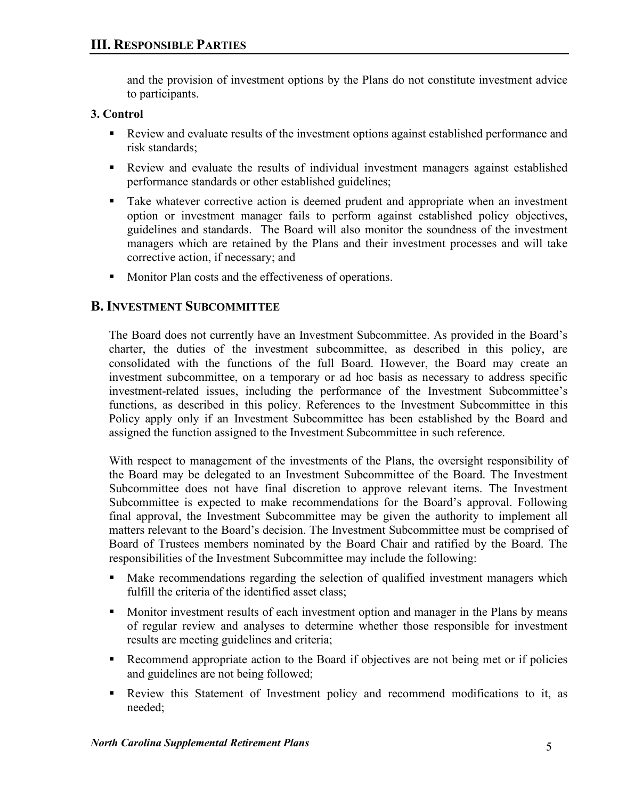and the provision of investment options by the Plans do not constitute investment advice to participants.

## **3. Control**

- Review and evaluate results of the investment options against established performance and risk standards;
- Review and evaluate the results of individual investment managers against established performance standards or other established guidelines;
- Take whatever corrective action is deemed prudent and appropriate when an investment option or investment manager fails to perform against established policy objectives, guidelines and standards. The Board will also monitor the soundness of the investment managers which are retained by the Plans and their investment processes and will take corrective action, if necessary; and
- **Monitor Plan costs and the effectiveness of operations.**

## **B.INVESTMENT SUBCOMMITTEE**

The Board does not currently have an Investment Subcommittee. As provided in the Board's charter, the duties of the investment subcommittee, as described in this policy, are consolidated with the functions of the full Board. However, the Board may create an investment subcommittee, on a temporary or ad hoc basis as necessary to address specific investment-related issues, including the performance of the Investment Subcommittee's functions, as described in this policy. References to the Investment Subcommittee in this Policy apply only if an Investment Subcommittee has been established by the Board and assigned the function assigned to the Investment Subcommittee in such reference.

With respect to management of the investments of the Plans, the oversight responsibility of the Board may be delegated to an Investment Subcommittee of the Board. The Investment Subcommittee does not have final discretion to approve relevant items. The Investment Subcommittee is expected to make recommendations for the Board's approval. Following final approval, the Investment Subcommittee may be given the authority to implement all matters relevant to the Board's decision. The Investment Subcommittee must be comprised of Board of Trustees members nominated by the Board Chair and ratified by the Board. The responsibilities of the Investment Subcommittee may include the following:

- Make recommendations regarding the selection of qualified investment managers which fulfill the criteria of the identified asset class;
- Monitor investment results of each investment option and manager in the Plans by means of regular review and analyses to determine whether those responsible for investment results are meeting guidelines and criteria;
- Recommend appropriate action to the Board if objectives are not being met or if policies and guidelines are not being followed;
- Review this Statement of Investment policy and recommend modifications to it, as needed;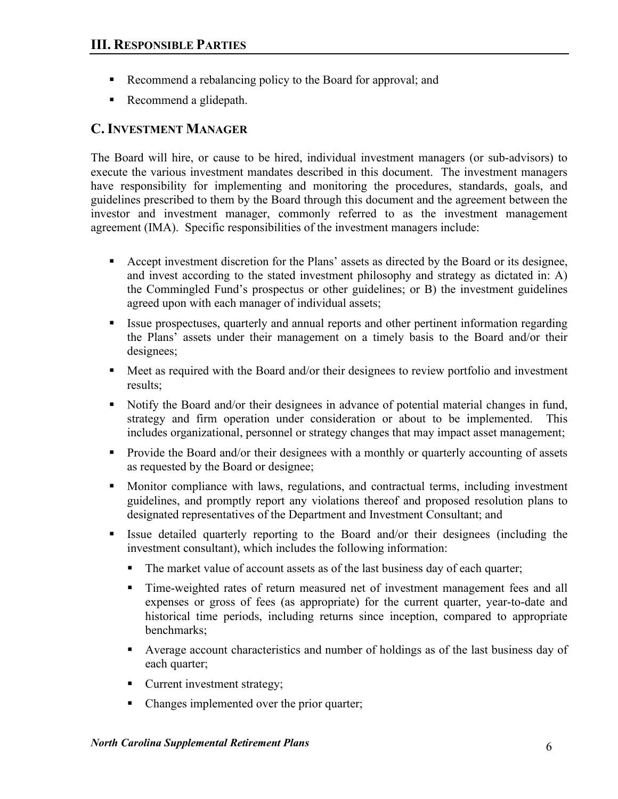- Recommend a rebalancing policy to the Board for approval; and
- Recommend a glidepath.

## **C. INVESTMENT MANAGER**

The Board will hire, or cause to be hired, individual investment managers (or sub-advisors) to execute the various investment mandates described in this document. The investment managers have responsibility for implementing and monitoring the procedures, standards, goals, and guidelines prescribed to them by the Board through this document and the agreement between the investor and investment manager, commonly referred to as the investment management agreement (IMA). Specific responsibilities of the investment managers include:

- Accept investment discretion for the Plans' assets as directed by the Board or its designee, and invest according to the stated investment philosophy and strategy as dictated in: A) the Commingled Fund's prospectus or other guidelines; or B) the investment guidelines agreed upon with each manager of individual assets;
- Issue prospectuses, quarterly and annual reports and other pertinent information regarding the Plans' assets under their management on a timely basis to the Board and/or their designees;
- Meet as required with the Board and/or their designees to review portfolio and investment results;
- Notify the Board and/or their designees in advance of potential material changes in fund, strategy and firm operation under consideration or about to be implemented. This includes organizational, personnel or strategy changes that may impact asset management;
- **Provide the Board and/or their designees with a monthly or quarterly accounting of assets** as requested by the Board or designee;
- Monitor compliance with laws, regulations, and contractual terms, including investment guidelines, and promptly report any violations thereof and proposed resolution plans to designated representatives of the Department and Investment Consultant; and
- Issue detailed quarterly reporting to the Board and/or their designees (including the investment consultant), which includes the following information:
	- The market value of account assets as of the last business day of each quarter;
	- Time-weighted rates of return measured net of investment management fees and all expenses or gross of fees (as appropriate) for the current quarter, year-to-date and historical time periods, including returns since inception, compared to appropriate benchmarks;
	- Average account characteristics and number of holdings as of the last business day of each quarter;
	- Current investment strategy;
	- Changes implemented over the prior quarter;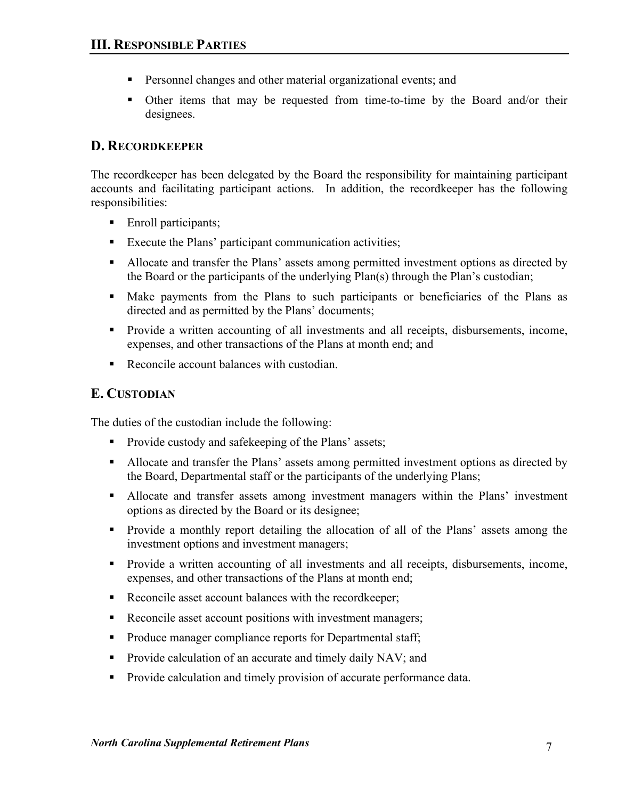- **Personnel changes and other material organizational events; and**
- Other items that may be requested from time-to-time by the Board and/or their designees.

## **D. RECORDKEEPER**

The recordkeeper has been delegated by the Board the responsibility for maintaining participant accounts and facilitating participant actions. In addition, the recordkeeper has the following responsibilities:

- Enroll participants;
- Execute the Plans' participant communication activities;
- Allocate and transfer the Plans' assets among permitted investment options as directed by the Board or the participants of the underlying Plan(s) through the Plan's custodian;
- Make payments from the Plans to such participants or beneficiaries of the Plans as directed and as permitted by the Plans' documents;
- **Provide a written accounting of all investments and all receipts, disbursements, income,** expenses, and other transactions of the Plans at month end; and
- Reconcile account balances with custodian.

## **E. CUSTODIAN**

The duties of the custodian include the following:

- **Provide custody and safekeeping of the Plans' assets;**
- Allocate and transfer the Plans' assets among permitted investment options as directed by the Board, Departmental staff or the participants of the underlying Plans;
- Allocate and transfer assets among investment managers within the Plans' investment options as directed by the Board or its designee;
- **Provide a monthly report detailing the allocation of all of the Plans' assets among the** investment options and investment managers;
- **Provide a written accounting of all investments and all receipts, disbursements, income,** expenses, and other transactions of the Plans at month end;
- Reconcile asset account balances with the recordkeeper;
- Reconcile asset account positions with investment managers;
- Produce manager compliance reports for Departmental staff;
- **Provide calculation of an accurate and timely daily NAV; and**
- **Provide calculation and timely provision of accurate performance data.**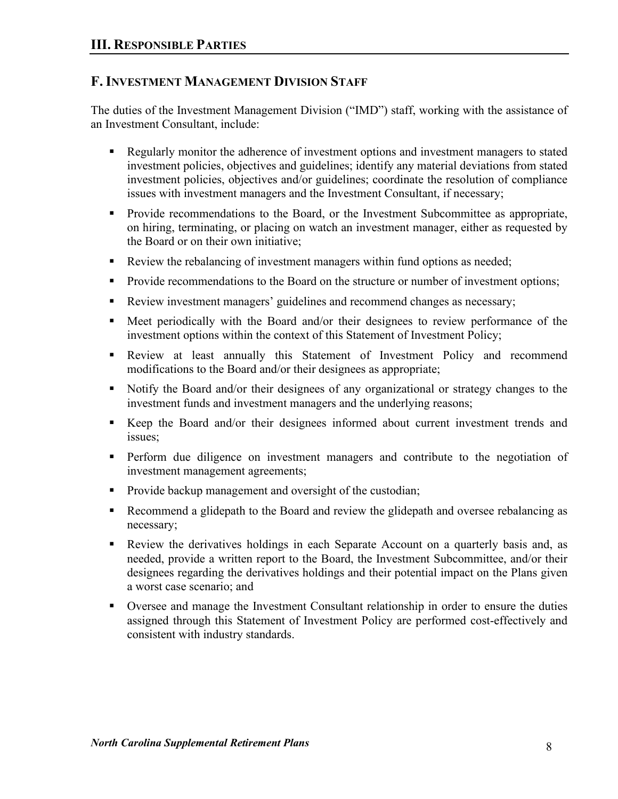## **F. INVESTMENT MANAGEMENT DIVISION STAFF**

The duties of the Investment Management Division ("IMD") staff, working with the assistance of an Investment Consultant, include:

- Regularly monitor the adherence of investment options and investment managers to stated investment policies, objectives and guidelines; identify any material deviations from stated investment policies, objectives and/or guidelines; coordinate the resolution of compliance issues with investment managers and the Investment Consultant, if necessary;
- **Provide recommendations to the Board, or the Investment Subcommittee as appropriate,** on hiring, terminating, or placing on watch an investment manager, either as requested by the Board or on their own initiative;
- Review the rebalancing of investment managers within fund options as needed;
- **Provide recommendations to the Board on the structure or number of investment options;**
- Review investment managers' guidelines and recommend changes as necessary;
- Meet periodically with the Board and/or their designees to review performance of the investment options within the context of this Statement of Investment Policy;
- Review at least annually this Statement of Investment Policy and recommend modifications to the Board and/or their designees as appropriate;
- Notify the Board and/or their designees of any organizational or strategy changes to the investment funds and investment managers and the underlying reasons;
- Keep the Board and/or their designees informed about current investment trends and issues;
- Perform due diligence on investment managers and contribute to the negotiation of investment management agreements;
- **Provide backup management and oversight of the custodian;**
- Recommend a glidepath to the Board and review the glidepath and oversee rebalancing as necessary;
- Review the derivatives holdings in each Separate Account on a quarterly basis and, as needed, provide a written report to the Board, the Investment Subcommittee, and/or their designees regarding the derivatives holdings and their potential impact on the Plans given a worst case scenario; and
- Oversee and manage the Investment Consultant relationship in order to ensure the duties assigned through this Statement of Investment Policy are performed cost-effectively and consistent with industry standards.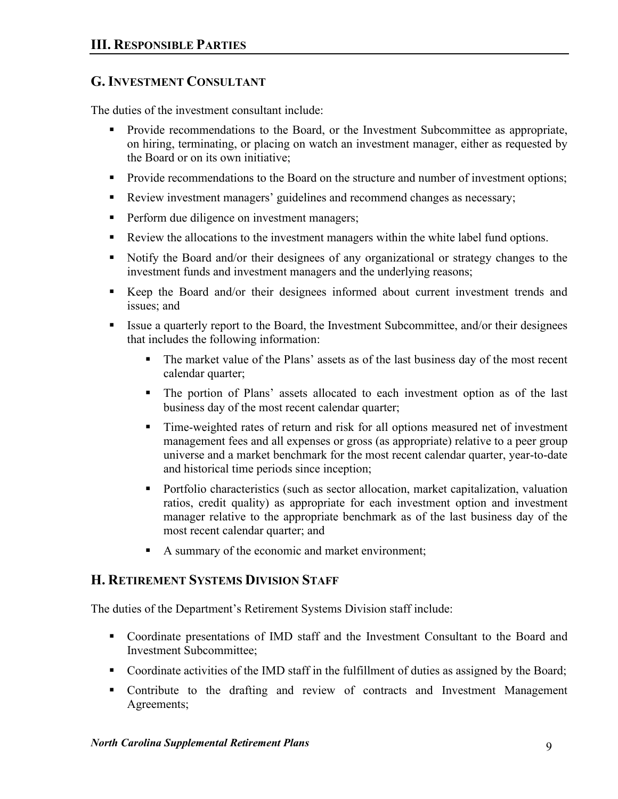## **G.INVESTMENT CONSULTANT**

The duties of the investment consultant include:

- **Provide recommendations to the Board, or the Investment Subcommittee as appropriate,** on hiring, terminating, or placing on watch an investment manager, either as requested by the Board or on its own initiative;
- **Provide recommendations to the Board on the structure and number of investment options;**
- Review investment managers' guidelines and recommend changes as necessary;
- Perform due diligence on investment managers;
- Review the allocations to the investment managers within the white label fund options.
- Notify the Board and/or their designees of any organizational or strategy changes to the investment funds and investment managers and the underlying reasons;
- Keep the Board and/or their designees informed about current investment trends and issues; and
- Issue a quarterly report to the Board, the Investment Subcommittee, and/or their designees that includes the following information:
	- The market value of the Plans' assets as of the last business day of the most recent calendar quarter;
	- The portion of Plans' assets allocated to each investment option as of the last business day of the most recent calendar quarter;
	- Time-weighted rates of return and risk for all options measured net of investment management fees and all expenses or gross (as appropriate) relative to a peer group universe and a market benchmark for the most recent calendar quarter, year-to-date and historical time periods since inception;
	- Portfolio characteristics (such as sector allocation, market capitalization, valuation ratios, credit quality) as appropriate for each investment option and investment manager relative to the appropriate benchmark as of the last business day of the most recent calendar quarter; and
	- A summary of the economic and market environment;

## **H. RETIREMENT SYSTEMS DIVISION STAFF**

The duties of the Department's Retirement Systems Division staff include:

- Coordinate presentations of IMD staff and the Investment Consultant to the Board and Investment Subcommittee;
- Coordinate activities of the IMD staff in the fulfillment of duties as assigned by the Board;
- Contribute to the drafting and review of contracts and Investment Management Agreements;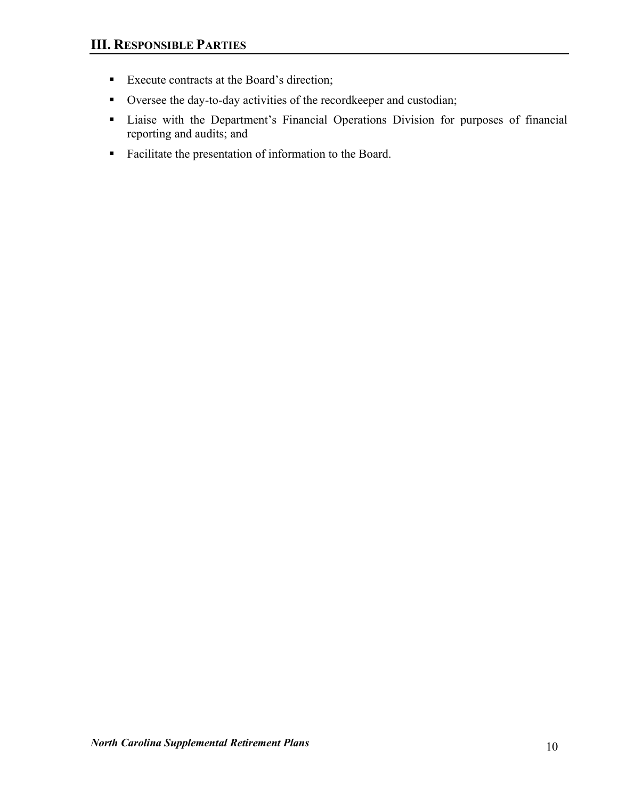- **Execute contracts at the Board's direction;**
- Oversee the day-to-day activities of the recordkeeper and custodian;
- Liaise with the Department's Financial Operations Division for purposes of financial reporting and audits; and
- Facilitate the presentation of information to the Board.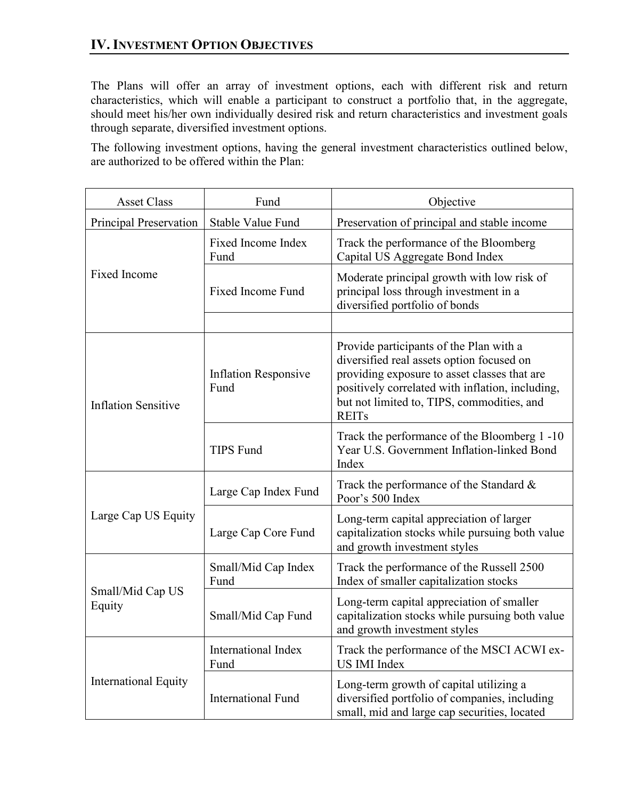The Plans will offer an array of investment options, each with different risk and return characteristics, which will enable a participant to construct a portfolio that, in the aggregate, should meet his/her own individually desired risk and return characteristics and investment goals through separate, diversified investment options.

The following investment options, having the general investment characteristics outlined below, are authorized to be offered within the Plan:

| <b>Asset Class</b>          | Fund                                | Objective                                                                                                                                                                                                                                              |
|-----------------------------|-------------------------------------|--------------------------------------------------------------------------------------------------------------------------------------------------------------------------------------------------------------------------------------------------------|
| Principal Preservation      | Stable Value Fund                   | Preservation of principal and stable income                                                                                                                                                                                                            |
|                             | Fixed Income Index<br>Fund          | Track the performance of the Bloomberg<br>Capital US Aggregate Bond Index                                                                                                                                                                              |
| <b>Fixed Income</b>         | <b>Fixed Income Fund</b>            | Moderate principal growth with low risk of<br>principal loss through investment in a<br>diversified portfolio of bonds                                                                                                                                 |
|                             |                                     |                                                                                                                                                                                                                                                        |
| <b>Inflation Sensitive</b>  | <b>Inflation Responsive</b><br>Fund | Provide participants of the Plan with a<br>diversified real assets option focused on<br>providing exposure to asset classes that are<br>positively correlated with inflation, including,<br>but not limited to, TIPS, commodities, and<br><b>REITs</b> |
|                             | <b>TIPS Fund</b>                    | Track the performance of the Bloomberg 1-10<br>Year U.S. Government Inflation-linked Bond<br>Index                                                                                                                                                     |
|                             | Large Cap Index Fund                | Track the performance of the Standard &<br>Poor's 500 Index                                                                                                                                                                                            |
| Large Cap US Equity         | Large Cap Core Fund                 | Long-term capital appreciation of larger<br>capitalization stocks while pursuing both value<br>and growth investment styles                                                                                                                            |
|                             | Small/Mid Cap Index<br>Fund         | Track the performance of the Russell 2500<br>Index of smaller capitalization stocks                                                                                                                                                                    |
| Small/Mid Cap US<br>Equity  | Small/Mid Cap Fund                  | Long-term capital appreciation of smaller<br>capitalization stocks while pursuing both value<br>and growth investment styles                                                                                                                           |
|                             | <b>International Index</b><br>Fund  | Track the performance of the MSCI ACWI ex-<br>US IMI Index                                                                                                                                                                                             |
| <b>International Equity</b> | <b>International Fund</b>           | Long-term growth of capital utilizing a<br>diversified portfolio of companies, including<br>small, mid and large cap securities, located                                                                                                               |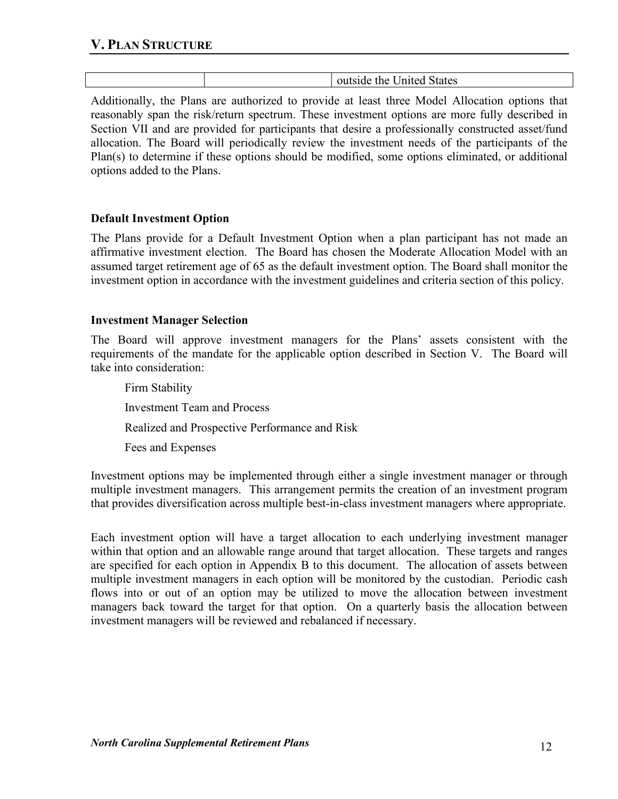|  | outside the United States |
|--|---------------------------|
|  |                           |

Additionally, the Plans are authorized to provide at least three Model Allocation options that reasonably span the risk/return spectrum. These investment options are more fully described in Section VII and are provided for participants that desire a professionally constructed asset/fund allocation. The Board will periodically review the investment needs of the participants of the Plan(s) to determine if these options should be modified, some options eliminated, or additional options added to the Plans.

## **Default Investment Option**

The Plans provide for a Default Investment Option when a plan participant has not made an affirmative investment election. The Board has chosen the Moderate Allocation Model with an assumed target retirement age of 65 as the default investment option. The Board shall monitor the investment option in accordance with the investment guidelines and criteria section of this policy.

#### **Investment Manager Selection**

The Board will approve investment managers for the Plans' assets consistent with the requirements of the mandate for the applicable option described in Section V. The Board will take into consideration:

Firm Stability Investment Team and Process Realized and Prospective Performance and Risk Fees and Expenses

Investment options may be implemented through either a single investment manager or through multiple investment managers. This arrangement permits the creation of an investment program that provides diversification across multiple best-in-class investment managers where appropriate.

Each investment option will have a target allocation to each underlying investment manager within that option and an allowable range around that target allocation. These targets and ranges are specified for each option in Appendix B to this document. The allocation of assets between multiple investment managers in each option will be monitored by the custodian. Periodic cash flows into or out of an option may be utilized to move the allocation between investment managers back toward the target for that option. On a quarterly basis the allocation between investment managers will be reviewed and rebalanced if necessary.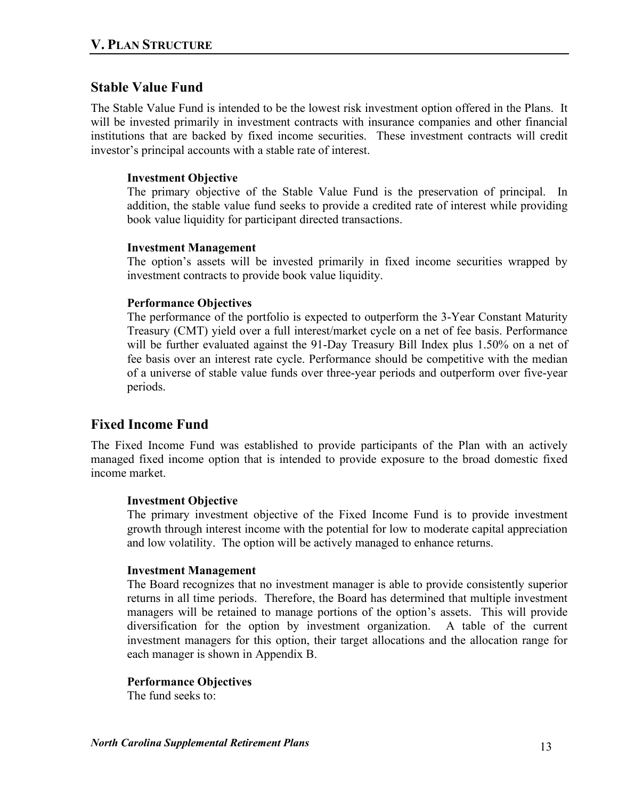## **Stable Value Fund**

The Stable Value Fund is intended to be the lowest risk investment option offered in the Plans. It will be invested primarily in investment contracts with insurance companies and other financial institutions that are backed by fixed income securities. These investment contracts will credit investor's principal accounts with a stable rate of interest.

## **Investment Objective**

The primary objective of the Stable Value Fund is the preservation of principal. In addition, the stable value fund seeks to provide a credited rate of interest while providing book value liquidity for participant directed transactions.

## **Investment Management**

The option's assets will be invested primarily in fixed income securities wrapped by investment contracts to provide book value liquidity.

## **Performance Objectives**

The performance of the portfolio is expected to outperform the 3-Year Constant Maturity Treasury (CMT) yield over a full interest/market cycle on a net of fee basis. Performance will be further evaluated against the 91-Day Treasury Bill Index plus 1.50% on a net of fee basis over an interest rate cycle. Performance should be competitive with the median of a universe of stable value funds over three-year periods and outperform over five-year periods.

## **Fixed Income Fund**

The Fixed Income Fund was established to provide participants of the Plan with an actively managed fixed income option that is intended to provide exposure to the broad domestic fixed income market.

#### **Investment Objective**

The primary investment objective of the Fixed Income Fund is to provide investment growth through interest income with the potential for low to moderate capital appreciation and low volatility. The option will be actively managed to enhance returns.

#### **Investment Management**

The Board recognizes that no investment manager is able to provide consistently superior returns in all time periods. Therefore, the Board has determined that multiple investment managers will be retained to manage portions of the option's assets. This will provide diversification for the option by investment organization. A table of the current investment managers for this option, their target allocations and the allocation range for each manager is shown in Appendix B.

#### **Performance Objectives**

The fund seeks to: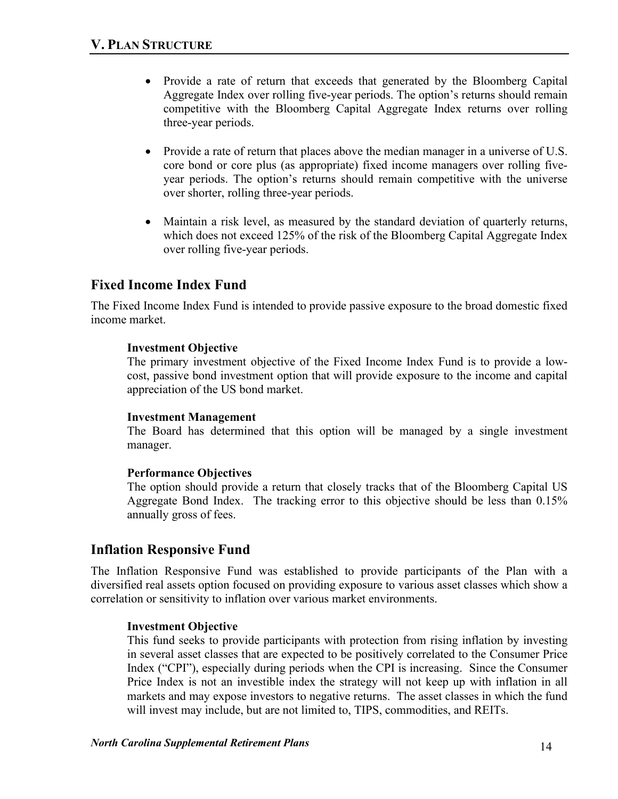- Provide a rate of return that exceeds that generated by the Bloomberg Capital Aggregate Index over rolling five-year periods. The option's returns should remain competitive with the Bloomberg Capital Aggregate Index returns over rolling three-year periods.
- Provide a rate of return that places above the median manager in a universe of U.S. core bond or core plus (as appropriate) fixed income managers over rolling fiveyear periods. The option's returns should remain competitive with the universe over shorter, rolling three-year periods.
- Maintain a risk level, as measured by the standard deviation of quarterly returns, which does not exceed 125% of the risk of the Bloomberg Capital Aggregate Index over rolling five-year periods.

## **Fixed Income Index Fund**

The Fixed Income Index Fund is intended to provide passive exposure to the broad domestic fixed income market.

## **Investment Objective**

The primary investment objective of the Fixed Income Index Fund is to provide a lowcost, passive bond investment option that will provide exposure to the income and capital appreciation of the US bond market.

#### **Investment Management**

The Board has determined that this option will be managed by a single investment manager.

## **Performance Objectives**

The option should provide a return that closely tracks that of the Bloomberg Capital US Aggregate Bond Index. The tracking error to this objective should be less than 0.15% annually gross of fees.

## **Inflation Responsive Fund**

The Inflation Responsive Fund was established to provide participants of the Plan with a diversified real assets option focused on providing exposure to various asset classes which show a correlation or sensitivity to inflation over various market environments.

## **Investment Objective**

This fund seeks to provide participants with protection from rising inflation by investing in several asset classes that are expected to be positively correlated to the Consumer Price Index ("CPI"), especially during periods when the CPI is increasing. Since the Consumer Price Index is not an investible index the strategy will not keep up with inflation in all markets and may expose investors to negative returns. The asset classes in which the fund will invest may include, but are not limited to, TIPS, commodities, and REITs.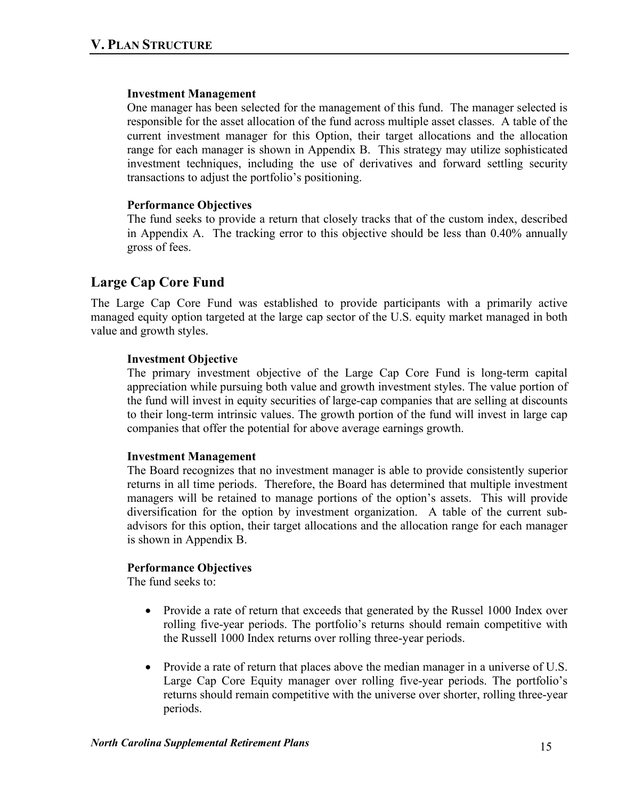#### **Investment Management**

One manager has been selected for the management of this fund. The manager selected is responsible for the asset allocation of the fund across multiple asset classes. A table of the current investment manager for this Option, their target allocations and the allocation range for each manager is shown in Appendix B. This strategy may utilize sophisticated investment techniques, including the use of derivatives and forward settling security transactions to adjust the portfolio's positioning.

## **Performance Objectives**

The fund seeks to provide a return that closely tracks that of the custom index, described in Appendix A. The tracking error to this objective should be less than 0.40% annually gross of fees.

# **Large Cap Core Fund**

The Large Cap Core Fund was established to provide participants with a primarily active managed equity option targeted at the large cap sector of the U.S. equity market managed in both value and growth styles.

## **Investment Objective**

The primary investment objective of the Large Cap Core Fund is long-term capital appreciation while pursuing both value and growth investment styles. The value portion of the fund will invest in equity securities of large-cap companies that are selling at discounts to their long-term intrinsic values. The growth portion of the fund will invest in large cap companies that offer the potential for above average earnings growth.

#### **Investment Management**

The Board recognizes that no investment manager is able to provide consistently superior returns in all time periods. Therefore, the Board has determined that multiple investment managers will be retained to manage portions of the option's assets. This will provide diversification for the option by investment organization. A table of the current subadvisors for this option, their target allocations and the allocation range for each manager is shown in Appendix B.

## **Performance Objectives**

The fund seeks to:

- Provide a rate of return that exceeds that generated by the Russel 1000 Index over rolling five-year periods. The portfolio's returns should remain competitive with the Russell 1000 Index returns over rolling three-year periods.
- Provide a rate of return that places above the median manager in a universe of U.S. Large Cap Core Equity manager over rolling five-year periods. The portfolio's returns should remain competitive with the universe over shorter, rolling three-year periods.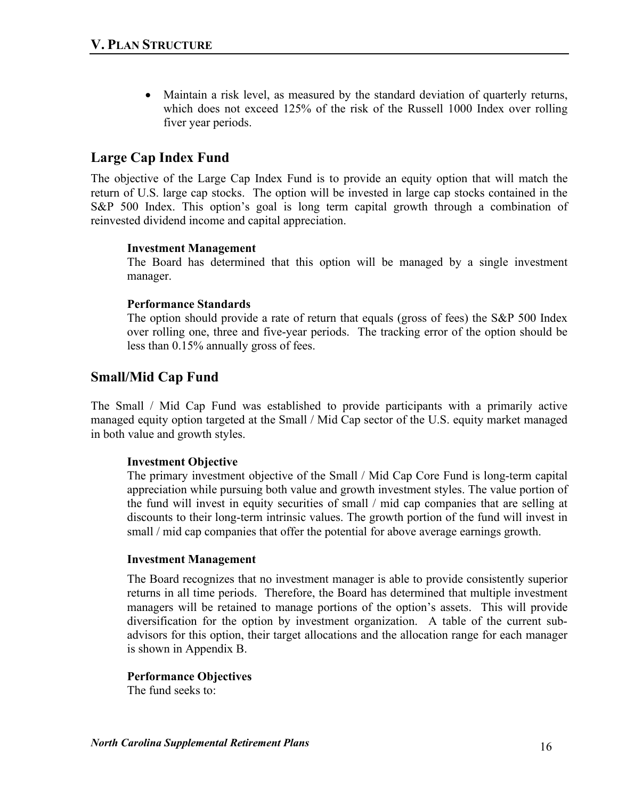• Maintain a risk level, as measured by the standard deviation of quarterly returns, which does not exceed 125% of the risk of the Russell 1000 Index over rolling fiver year periods.

## **Large Cap Index Fund**

The objective of the Large Cap Index Fund is to provide an equity option that will match the return of U.S. large cap stocks. The option will be invested in large cap stocks contained in the S&P 500 Index. This option's goal is long term capital growth through a combination of reinvested dividend income and capital appreciation.

## **Investment Management**

The Board has determined that this option will be managed by a single investment manager.

#### **Performance Standards**

The option should provide a rate of return that equals (gross of fees) the S&P 500 Index over rolling one, three and five-year periods. The tracking error of the option should be less than 0.15% annually gross of fees.

## **Small/Mid Cap Fund**

The Small / Mid Cap Fund was established to provide participants with a primarily active managed equity option targeted at the Small / Mid Cap sector of the U.S. equity market managed in both value and growth styles.

## **Investment Objective**

The primary investment objective of the Small / Mid Cap Core Fund is long-term capital appreciation while pursuing both value and growth investment styles. The value portion of the fund will invest in equity securities of small / mid cap companies that are selling at discounts to their long-term intrinsic values. The growth portion of the fund will invest in small / mid cap companies that offer the potential for above average earnings growth.

#### **Investment Management**

The Board recognizes that no investment manager is able to provide consistently superior returns in all time periods. Therefore, the Board has determined that multiple investment managers will be retained to manage portions of the option's assets. This will provide diversification for the option by investment organization. A table of the current subadvisors for this option, their target allocations and the allocation range for each manager is shown in Appendix B.

#### **Performance Objectives**

The fund seeks to: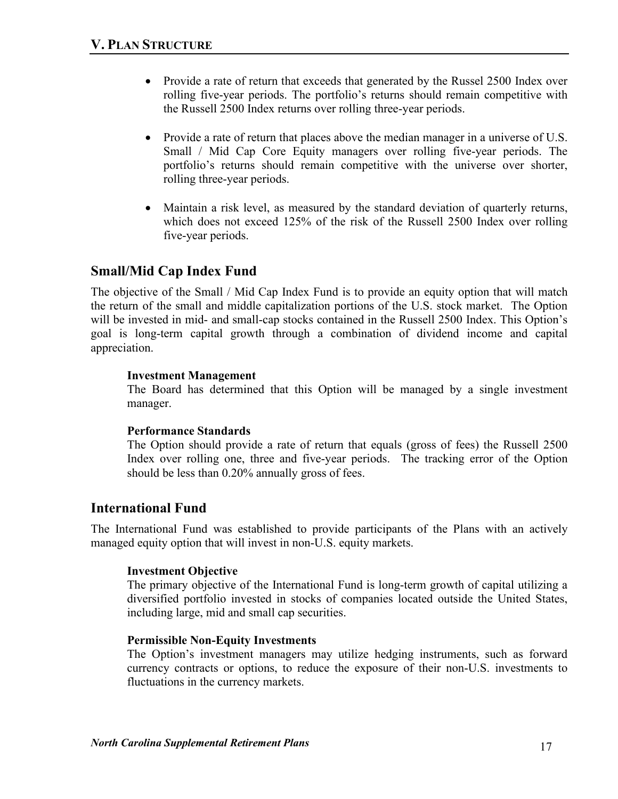- Provide a rate of return that exceeds that generated by the Russel 2500 Index over rolling five-year periods. The portfolio's returns should remain competitive with the Russell 2500 Index returns over rolling three-year periods.
- Provide a rate of return that places above the median manager in a universe of U.S. Small / Mid Cap Core Equity managers over rolling five-year periods. The portfolio's returns should remain competitive with the universe over shorter, rolling three-year periods.
- Maintain a risk level, as measured by the standard deviation of quarterly returns, which does not exceed 125% of the risk of the Russell 2500 Index over rolling five-year periods.

# **Small/Mid Cap Index Fund**

The objective of the Small / Mid Cap Index Fund is to provide an equity option that will match the return of the small and middle capitalization portions of the U.S. stock market. The Option will be invested in mid- and small-cap stocks contained in the Russell 2500 Index. This Option's goal is long-term capital growth through a combination of dividend income and capital appreciation.

## **Investment Management**

The Board has determined that this Option will be managed by a single investment manager.

#### **Performance Standards**

The Option should provide a rate of return that equals (gross of fees) the Russell 2500 Index over rolling one, three and five-year periods. The tracking error of the Option should be less than 0.20% annually gross of fees.

## **International Fund**

The International Fund was established to provide participants of the Plans with an actively managed equity option that will invest in non-U.S. equity markets.

## **Investment Objective**

The primary objective of the International Fund is long-term growth of capital utilizing a diversified portfolio invested in stocks of companies located outside the United States, including large, mid and small cap securities.

#### **Permissible Non-Equity Investments**

The Option's investment managers may utilize hedging instruments, such as forward currency contracts or options, to reduce the exposure of their non-U.S. investments to fluctuations in the currency markets.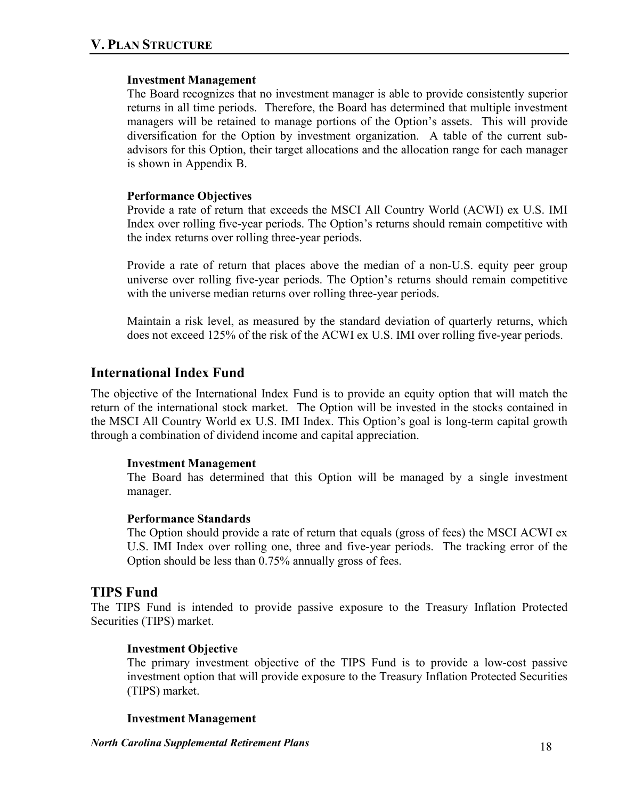#### **Investment Management**

The Board recognizes that no investment manager is able to provide consistently superior returns in all time periods. Therefore, the Board has determined that multiple investment managers will be retained to manage portions of the Option's assets. This will provide diversification for the Option by investment organization. A table of the current subadvisors for this Option, their target allocations and the allocation range for each manager is shown in Appendix B.

## **Performance Objectives**

Provide a rate of return that exceeds the MSCI All Country World (ACWI) ex U.S. IMI Index over rolling five-year periods. The Option's returns should remain competitive with the index returns over rolling three-year periods.

Provide a rate of return that places above the median of a non-U.S. equity peer group universe over rolling five-year periods. The Option's returns should remain competitive with the universe median returns over rolling three-year periods.

Maintain a risk level, as measured by the standard deviation of quarterly returns, which does not exceed 125% of the risk of the ACWI ex U.S. IMI over rolling five-year periods.

## **International Index Fund**

The objective of the International Index Fund is to provide an equity option that will match the return of the international stock market. The Option will be invested in the stocks contained in the MSCI All Country World ex U.S. IMI Index. This Option's goal is long-term capital growth through a combination of dividend income and capital appreciation.

#### **Investment Management**

The Board has determined that this Option will be managed by a single investment manager.

#### **Performance Standards**

The Option should provide a rate of return that equals (gross of fees) the MSCI ACWI ex U.S. IMI Index over rolling one, three and five-year periods. The tracking error of the Option should be less than 0.75% annually gross of fees.

## **TIPS Fund**

The TIPS Fund is intended to provide passive exposure to the Treasury Inflation Protected Securities (TIPS) market.

## **Investment Objective**

The primary investment objective of the TIPS Fund is to provide a low-cost passive investment option that will provide exposure to the Treasury Inflation Protected Securities (TIPS) market.

#### **Investment Management**

*North Carolina Supplemental Retirement Plans* 18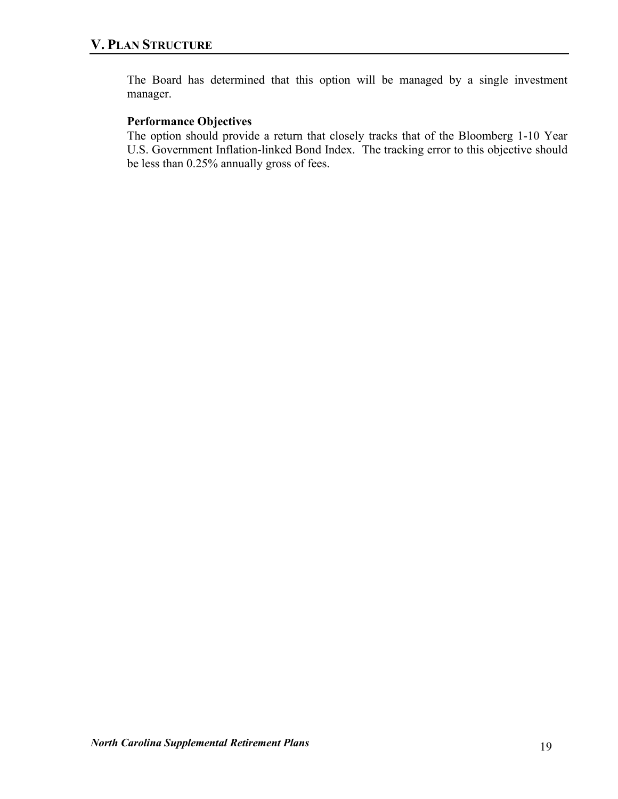The Board has determined that this option will be managed by a single investment manager.

## **Performance Objectives**

The option should provide a return that closely tracks that of the Bloomberg 1-10 Year U.S. Government Inflation-linked Bond Index. The tracking error to this objective should be less than 0.25% annually gross of fees.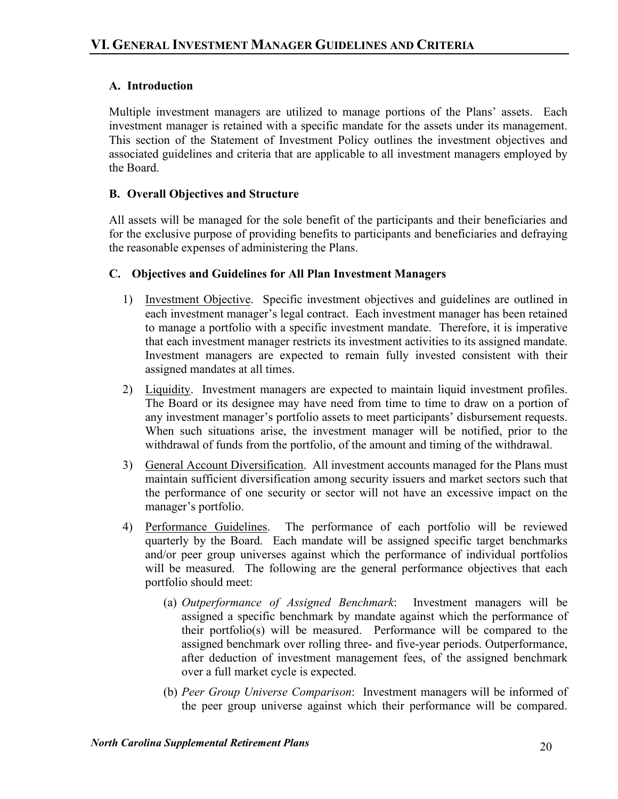## **A. Introduction**

Multiple investment managers are utilized to manage portions of the Plans' assets. Each investment manager is retained with a specific mandate for the assets under its management. This section of the Statement of Investment Policy outlines the investment objectives and associated guidelines and criteria that are applicable to all investment managers employed by the Board.

## **B. Overall Objectives and Structure**

All assets will be managed for the sole benefit of the participants and their beneficiaries and for the exclusive purpose of providing benefits to participants and beneficiaries and defraying the reasonable expenses of administering the Plans.

## **C. Objectives and Guidelines for All Plan Investment Managers**

- 1) Investment Objective. Specific investment objectives and guidelines are outlined in each investment manager's legal contract. Each investment manager has been retained to manage a portfolio with a specific investment mandate. Therefore, it is imperative that each investment manager restricts its investment activities to its assigned mandate. Investment managers are expected to remain fully invested consistent with their assigned mandates at all times.
- 2) Liquidity. Investment managers are expected to maintain liquid investment profiles. The Board or its designee may have need from time to time to draw on a portion of any investment manager's portfolio assets to meet participants' disbursement requests. When such situations arise, the investment manager will be notified, prior to the withdrawal of funds from the portfolio, of the amount and timing of the withdrawal.
- 3) General Account Diversification. All investment accounts managed for the Plans must maintain sufficient diversification among security issuers and market sectors such that the performance of one security or sector will not have an excessive impact on the manager's portfolio.
- 4) Performance Guidelines. The performance of each portfolio will be reviewed quarterly by the Board. Each mandate will be assigned specific target benchmarks and/or peer group universes against which the performance of individual portfolios will be measured. The following are the general performance objectives that each portfolio should meet:
	- (a) *Outperformance of Assigned Benchmark*: Investment managers will be assigned a specific benchmark by mandate against which the performance of their portfolio(s) will be measured. Performance will be compared to the assigned benchmark over rolling three- and five-year periods. Outperformance, after deduction of investment management fees, of the assigned benchmark over a full market cycle is expected.
	- (b) *Peer Group Universe Comparison*: Investment managers will be informed of the peer group universe against which their performance will be compared.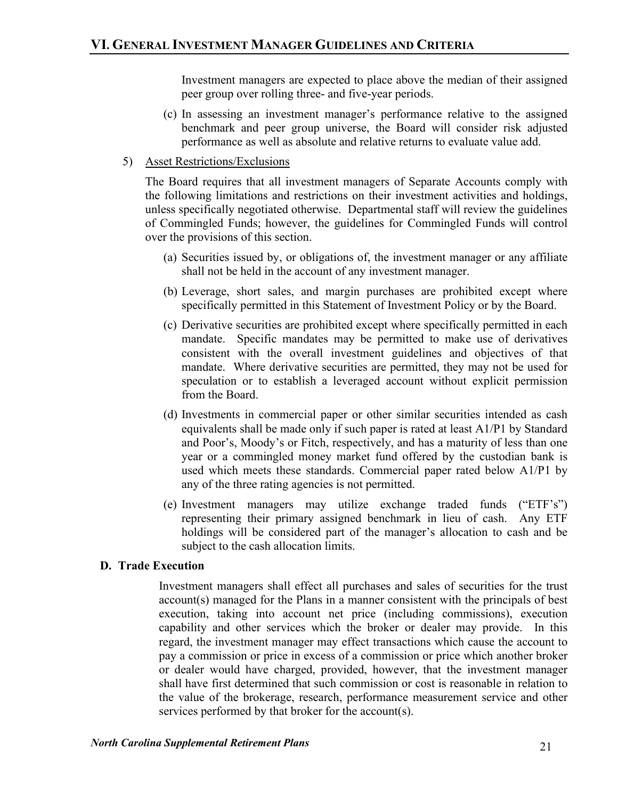Investment managers are expected to place above the median of their assigned peer group over rolling three- and five-year periods.

- (c) In assessing an investment manager's performance relative to the assigned benchmark and peer group universe, the Board will consider risk adjusted performance as well as absolute and relative returns to evaluate value add.
- 5) Asset Restrictions/Exclusions

The Board requires that all investment managers of Separate Accounts comply with the following limitations and restrictions on their investment activities and holdings, unless specifically negotiated otherwise. Departmental staff will review the guidelines of Commingled Funds; however, the guidelines for Commingled Funds will control over the provisions of this section.

- (a) Securities issued by, or obligations of, the investment manager or any affiliate shall not be held in the account of any investment manager.
- (b) Leverage, short sales, and margin purchases are prohibited except where specifically permitted in this Statement of Investment Policy or by the Board.
- (c) Derivative securities are prohibited except where specifically permitted in each mandate. Specific mandates may be permitted to make use of derivatives consistent with the overall investment guidelines and objectives of that mandate. Where derivative securities are permitted, they may not be used for speculation or to establish a leveraged account without explicit permission from the Board.
- (d) Investments in commercial paper or other similar securities intended as cash equivalents shall be made only if such paper is rated at least A1/P1 by Standard and Poor's, Moody's or Fitch, respectively, and has a maturity of less than one year or a commingled money market fund offered by the custodian bank is used which meets these standards. Commercial paper rated below A1/P1 by any of the three rating agencies is not permitted.
- (e) Investment managers may utilize exchange traded funds ("ETF's") representing their primary assigned benchmark in lieu of cash. Any ETF holdings will be considered part of the manager's allocation to cash and be subject to the cash allocation limits.

## **D. Trade Execution**

Investment managers shall effect all purchases and sales of securities for the trust account(s) managed for the Plans in a manner consistent with the principals of best execution, taking into account net price (including commissions), execution capability and other services which the broker or dealer may provide. In this regard, the investment manager may effect transactions which cause the account to pay a commission or price in excess of a commission or price which another broker or dealer would have charged, provided, however, that the investment manager shall have first determined that such commission or cost is reasonable in relation to the value of the brokerage, research, performance measurement service and other services performed by that broker for the account(s).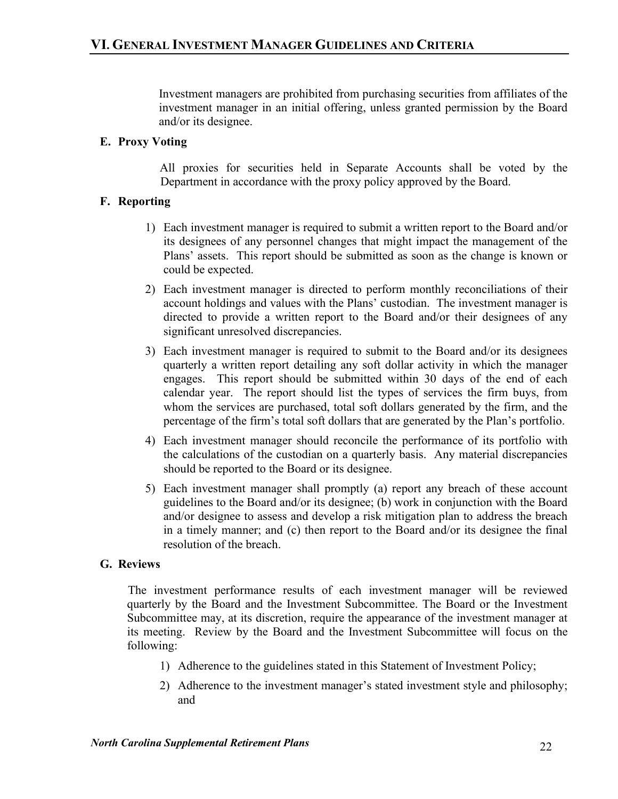Investment managers are prohibited from purchasing securities from affiliates of the investment manager in an initial offering, unless granted permission by the Board and/or its designee.

## **E. Proxy Voting**

All proxies for securities held in Separate Accounts shall be voted by the Department in accordance with the proxy policy approved by the Board.

## **F. Reporting**

- 1) Each investment manager is required to submit a written report to the Board and/or its designees of any personnel changes that might impact the management of the Plans' assets. This report should be submitted as soon as the change is known or could be expected.
- 2) Each investment manager is directed to perform monthly reconciliations of their account holdings and values with the Plans' custodian. The investment manager is directed to provide a written report to the Board and/or their designees of any significant unresolved discrepancies.
- 3) Each investment manager is required to submit to the Board and/or its designees quarterly a written report detailing any soft dollar activity in which the manager engages. This report should be submitted within 30 days of the end of each calendar year. The report should list the types of services the firm buys, from whom the services are purchased, total soft dollars generated by the firm, and the percentage of the firm's total soft dollars that are generated by the Plan's portfolio.
- 4) Each investment manager should reconcile the performance of its portfolio with the calculations of the custodian on a quarterly basis. Any material discrepancies should be reported to the Board or its designee.
- 5) Each investment manager shall promptly (a) report any breach of these account guidelines to the Board and/or its designee; (b) work in conjunction with the Board and/or designee to assess and develop a risk mitigation plan to address the breach in a timely manner; and (c) then report to the Board and/or its designee the final resolution of the breach.

## **G. Reviews**

The investment performance results of each investment manager will be reviewed quarterly by the Board and the Investment Subcommittee. The Board or the Investment Subcommittee may, at its discretion, require the appearance of the investment manager at its meeting. Review by the Board and the Investment Subcommittee will focus on the following:

- 1) Adherence to the guidelines stated in this Statement of Investment Policy;
- 2) Adherence to the investment manager's stated investment style and philosophy; and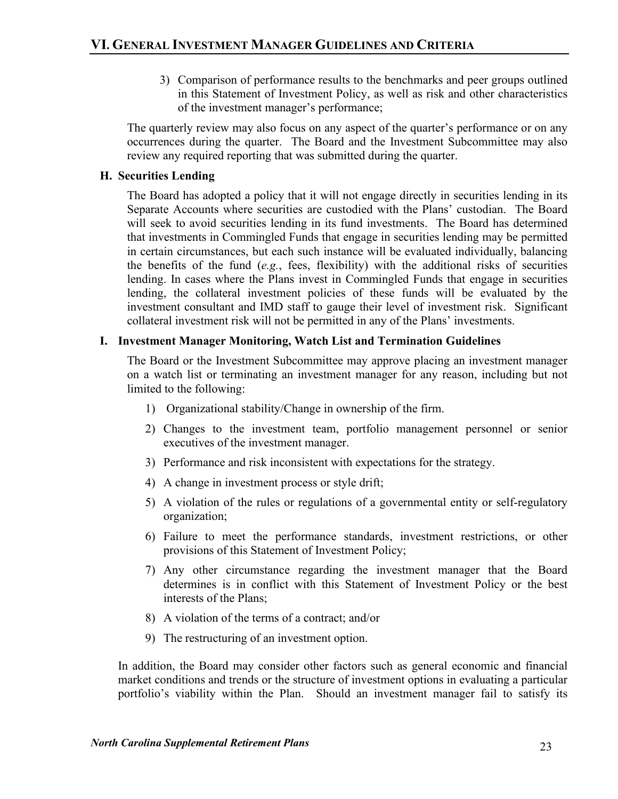3) Comparison of performance results to the benchmarks and peer groups outlined in this Statement of Investment Policy, as well as risk and other characteristics of the investment manager's performance;

The quarterly review may also focus on any aspect of the quarter's performance or on any occurrences during the quarter. The Board and the Investment Subcommittee may also review any required reporting that was submitted during the quarter.

## **H. Securities Lending**

The Board has adopted a policy that it will not engage directly in securities lending in its Separate Accounts where securities are custodied with the Plans' custodian. The Board will seek to avoid securities lending in its fund investments. The Board has determined that investments in Commingled Funds that engage in securities lending may be permitted in certain circumstances, but each such instance will be evaluated individually, balancing the benefits of the fund  $(e.g.,$  fees, flexibility) with the additional risks of securities lending. In cases where the Plans invest in Commingled Funds that engage in securities lending, the collateral investment policies of these funds will be evaluated by the investment consultant and IMD staff to gauge their level of investment risk. Significant collateral investment risk will not be permitted in any of the Plans' investments.

## **I. Investment Manager Monitoring, Watch List and Termination Guidelines**

The Board or the Investment Subcommittee may approve placing an investment manager on a watch list or terminating an investment manager for any reason, including but not limited to the following:

- 1) Organizational stability/Change in ownership of the firm.
- 2) Changes to the investment team, portfolio management personnel or senior executives of the investment manager.
- 3) Performance and risk inconsistent with expectations for the strategy.
- 4) A change in investment process or style drift;
- 5) A violation of the rules or regulations of a governmental entity or self-regulatory organization;
- 6) Failure to meet the performance standards, investment restrictions, or other provisions of this Statement of Investment Policy;
- 7) Any other circumstance regarding the investment manager that the Board determines is in conflict with this Statement of Investment Policy or the best interests of the Plans;
- 8) A violation of the terms of a contract; and/or
- 9) The restructuring of an investment option.

In addition, the Board may consider other factors such as general economic and financial market conditions and trends or the structure of investment options in evaluating a particular portfolio's viability within the Plan. Should an investment manager fail to satisfy its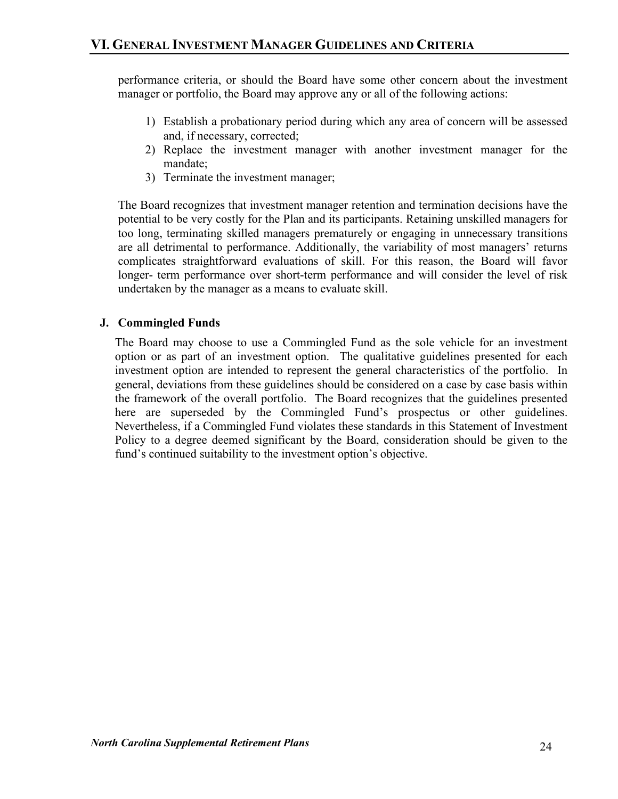performance criteria, or should the Board have some other concern about the investment manager or portfolio, the Board may approve any or all of the following actions:

- 1) Establish a probationary period during which any area of concern will be assessed and, if necessary, corrected;
- 2) Replace the investment manager with another investment manager for the mandate;
- 3) Terminate the investment manager;

The Board recognizes that investment manager retention and termination decisions have the potential to be very costly for the Plan and its participants. Retaining unskilled managers for too long, terminating skilled managers prematurely or engaging in unnecessary transitions are all detrimental to performance. Additionally, the variability of most managers' returns complicates straightforward evaluations of skill. For this reason, the Board will favor longer- term performance over short-term performance and will consider the level of risk undertaken by the manager as a means to evaluate skill.

## **J. Commingled Funds**

The Board may choose to use a Commingled Fund as the sole vehicle for an investment option or as part of an investment option. The qualitative guidelines presented for each investment option are intended to represent the general characteristics of the portfolio. In general, deviations from these guidelines should be considered on a case by case basis within the framework of the overall portfolio. The Board recognizes that the guidelines presented here are superseded by the Commingled Fund's prospectus or other guidelines. Nevertheless, if a Commingled Fund violates these standards in this Statement of Investment Policy to a degree deemed significant by the Board, consideration should be given to the fund's continued suitability to the investment option's objective.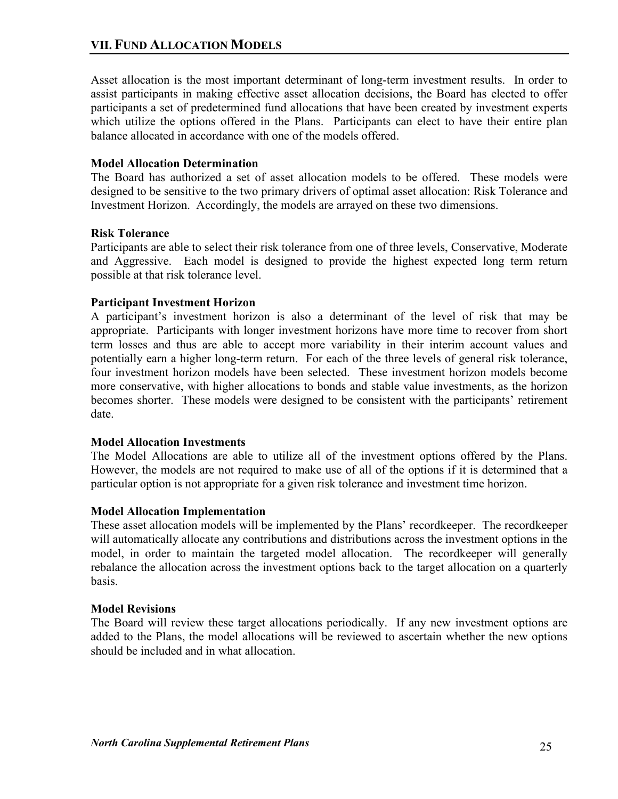Asset allocation is the most important determinant of long-term investment results. In order to assist participants in making effective asset allocation decisions, the Board has elected to offer participants a set of predetermined fund allocations that have been created by investment experts which utilize the options offered in the Plans. Participants can elect to have their entire plan balance allocated in accordance with one of the models offered.

## **Model Allocation Determination**

The Board has authorized a set of asset allocation models to be offered. These models were designed to be sensitive to the two primary drivers of optimal asset allocation: Risk Tolerance and Investment Horizon. Accordingly, the models are arrayed on these two dimensions.

#### **Risk Tolerance**

Participants are able to select their risk tolerance from one of three levels, Conservative, Moderate and Aggressive. Each model is designed to provide the highest expected long term return possible at that risk tolerance level.

## **Participant Investment Horizon**

A participant's investment horizon is also a determinant of the level of risk that may be appropriate. Participants with longer investment horizons have more time to recover from short term losses and thus are able to accept more variability in their interim account values and potentially earn a higher long-term return. For each of the three levels of general risk tolerance, four investment horizon models have been selected. These investment horizon models become more conservative, with higher allocations to bonds and stable value investments, as the horizon becomes shorter. These models were designed to be consistent with the participants' retirement date.

#### **Model Allocation Investments**

The Model Allocations are able to utilize all of the investment options offered by the Plans. However, the models are not required to make use of all of the options if it is determined that a particular option is not appropriate for a given risk tolerance and investment time horizon.

#### **Model Allocation Implementation**

These asset allocation models will be implemented by the Plans' recordkeeper. The recordkeeper will automatically allocate any contributions and distributions across the investment options in the model, in order to maintain the targeted model allocation. The recordkeeper will generally rebalance the allocation across the investment options back to the target allocation on a quarterly basis.

#### **Model Revisions**

The Board will review these target allocations periodically. If any new investment options are added to the Plans, the model allocations will be reviewed to ascertain whether the new options should be included and in what allocation.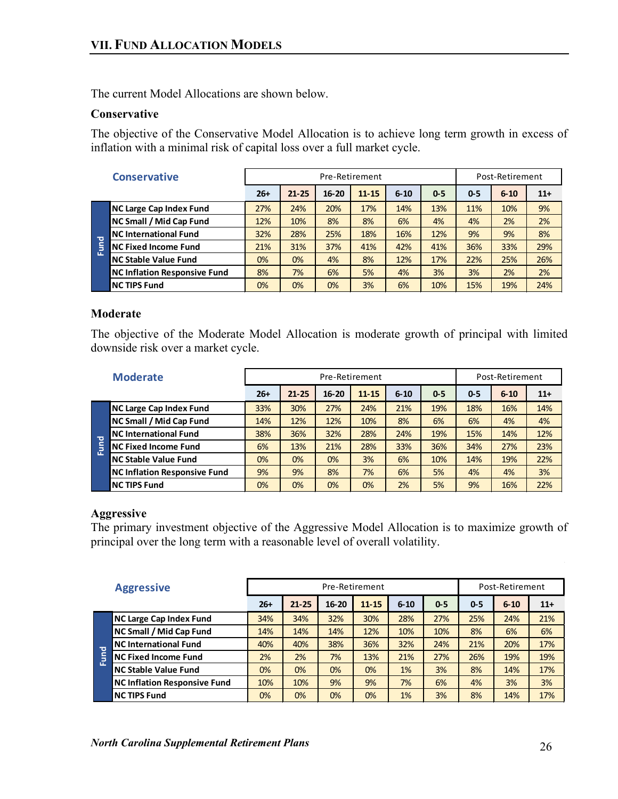The current Model Allocations are shown below.

## **Conservative**

The objective of the Conservative Model Allocation is to achieve long term growth in excess of inflation with a minimal risk of capital loss over a full market cycle.

|      | <b>Conservative</b>                 |       | Pre-Retirement |           |           |          |       | Post-Retirement |          |       |
|------|-------------------------------------|-------|----------------|-----------|-----------|----------|-------|-----------------|----------|-------|
|      |                                     | $26+$ | $21 - 25$      | $16 - 20$ | $11 - 15$ | $6 - 10$ | $0-5$ | $0-5$           | $6 - 10$ | $11+$ |
|      | <b>NC Large Cap Index Fund</b>      | 27%   | 24%            | 20%       | 17%       | 14%      | 13%   | 11%             | 10%      | 9%    |
|      | NC Small / Mid Cap Fund             | 12%   | 10%            | 8%        | 8%        | 6%       | 4%    | 4%              | 2%       | 2%    |
|      | <b>NC International Fund</b>        | 32%   | 28%            | 25%       | 18%       | 16%      | 12%   | 9%              | 9%       | 8%    |
| Fund | <b>NC Fixed Income Fund</b>         | 21%   | 31%            | 37%       | 41%       | 42%      | 41%   | 36%             | 33%      | 29%   |
|      | <b>NC Stable Value Fund</b>         | 0%    | 0%             | 4%        | 8%        | 12%      | 17%   | 22%             | 25%      | 26%   |
|      | <b>NC Inflation Responsive Fund</b> | 8%    | 7%             | 6%        | 5%        | 4%       | 3%    | 3%              | 2%       | 2%    |
|      | <b>NC TIPS Fund</b>                 | 0%    | 0%             | 0%        | 3%        | 6%       | 10%   | 15%             | 19%      | 24%   |

## **Moderate**

The objective of the Moderate Model Allocation is moderate growth of principal with limited downside risk over a market cycle.

|    | <b>Moderate</b>                     |       | Pre-Retirement |           |           |          |       | Post-Retirement |          |       |
|----|-------------------------------------|-------|----------------|-----------|-----------|----------|-------|-----------------|----------|-------|
|    |                                     | $26+$ | $21 - 25$      | $16 - 20$ | $11 - 15$ | $6 - 10$ | $0-5$ | $0-5$           | $6 - 10$ | $11+$ |
|    | <b>NC Large Cap Index Fund</b>      | 33%   | 30%            | 27%       | 24%       | 21%      | 19%   | 18%             | 16%      | 14%   |
|    | <b>NC Small / Mid Cap Fund</b>      | 14%   | 12%            | 12%       | 10%       | 8%       | 6%    | 6%              | 4%       | 4%    |
| ठ  | <b>NC International Fund</b>        | 38%   | 36%            | 32%       | 28%       | 24%      | 19%   | 15%             | 14%      | 12%   |
| ŝ  | <b>NC Fixed Income Fund</b>         | 6%    | 13%            | 21%       | 28%       | 33%      | 36%   | 34%             | 27%      | 23%   |
| ū. | <b>NC Stable Value Fund</b>         | 0%    | 0%             | 0%        | 3%        | 6%       | 10%   | 14%             | 19%      | 22%   |
|    | <b>NC Inflation Responsive Fund</b> | 9%    | 9%             | 8%        | 7%        | 6%       | 5%    | 4%              | 4%       | 3%    |
|    | <b>NC TIPS Fund</b>                 | 0%    | 0%             | 0%        | 0%        | 2%       | 5%    | 9%              | 16%      | 22%   |

## **Aggressive**

The primary investment objective of the Aggressive Model Allocation is to maximize growth of principal over the long term with a reasonable level of overall volatility.

|                         | <b>Aggressive</b>                   |       | Pre-Retirement |           |           |          |         |         | Post-Retirement |       |  |
|-------------------------|-------------------------------------|-------|----------------|-----------|-----------|----------|---------|---------|-----------------|-------|--|
|                         |                                     | $26+$ | $21 - 25$      | $16 - 20$ | $11 - 15$ | $6 - 10$ | $0 - 5$ | $0 - 5$ | $6 - 10$        | $11+$ |  |
|                         | <b>NC Large Cap Index Fund</b>      | 34%   | 34%            | 32%       | 30%       | 28%      | 27%     | 25%     | 24%             | 21%   |  |
|                         | <b>NC Small / Mid Cap Fund</b>      | 14%   | 14%            | 14%       | 12%       | 10%      | 10%     | 8%      | 6%              | 6%    |  |
| $\overline{\mathbf{c}}$ | <b>NC International Fund</b>        | 40%   | 40%            | 38%       | 36%       | 32%      | 24%     | 21%     | 20%             | 17%   |  |
| Š                       | <b>NC Fixed Income Fund</b>         | 2%    | 2%             | 7%        | 13%       | 21%      | 27%     | 26%     | 19%             | 19%   |  |
| ū.                      | <b>NC Stable Value Fund</b>         | 0%    | 0%             | 0%        | 0%        | 1%       | 3%      | 8%      | 14%             | 17%   |  |
|                         | <b>NC Inflation Responsive Fund</b> | 10%   | 10%            | 9%        | 9%        | 7%       | 6%      | 4%      | 3%              | 3%    |  |
|                         | <b>NC TIPS Fund</b>                 | 0%    | 0%             | 0%        | 0%        | 1%       | 3%      | 8%      | 14%             | 17%   |  |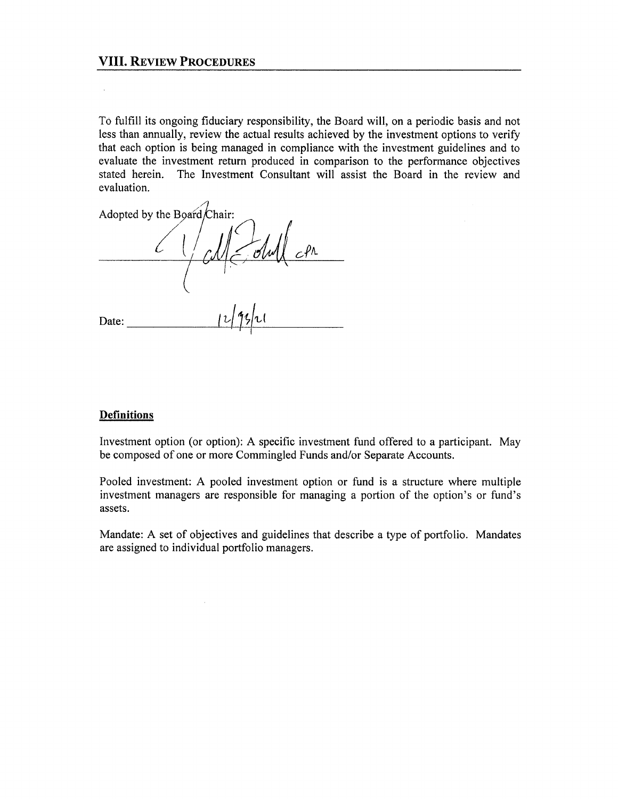#### **VIII. REVIEW PROCEDURES**

To fulfill its ongoing fiduciary responsibility, the Board will, on a periodic basis and not less than annually, review the actual results achieved by the investment options to verify that each option is being managed in compliance with the investment guidelines and to evaluate the investment return produced in comparison to the performance objectives stated herein. The Investment Consultant will assist the Board in the review and evaluation.

Adopted by the Board/Chair:  $c$ M $\le$ Olull  $c$ Pr Date:

#### **Definitions**

Investment option (or option): A specific investment fund offered to a participant. May be composed of one or more Commingled Funds and/or Separate Accounts.

Pooled investment: A pooled investment option or fund is a structure where multiple investment managers are responsible for managing a portion of the option's or fund's assets.

Mandate: A set of objectives and guidelines that describe a type of portfolio. Mandates are assigned to individual portfolio managers.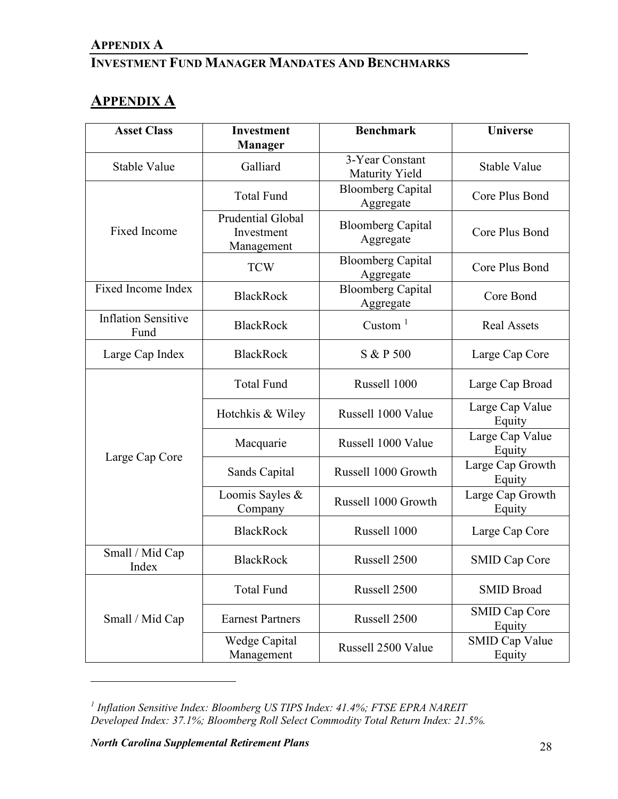# **APPENDIX A**

# **INVESTMENT FUND MANAGER MANDATES AND BENCHMARKS**

# **APPENDIX A**

| <b>Asset Class</b>                 | <b>Investment</b><br><b>Manager</b>           | <b>Benchmark</b>                      | <b>Universe</b>                 |  |
|------------------------------------|-----------------------------------------------|---------------------------------------|---------------------------------|--|
| Stable Value                       | Galliard                                      | 3-Year Constant<br>Maturity Yield     | Stable Value                    |  |
|                                    | <b>Total Fund</b>                             |                                       | Core Plus Bond                  |  |
| <b>Fixed Income</b>                | Prudential Global<br>Investment<br>Management | <b>Bloomberg Capital</b><br>Aggregate | Core Plus Bond                  |  |
|                                    | <b>TCW</b>                                    | <b>Bloomberg Capital</b><br>Aggregate | Core Plus Bond                  |  |
| <b>Fixed Income Index</b>          | <b>BlackRock</b>                              | <b>Bloomberg Capital</b><br>Aggregate | Core Bond                       |  |
| <b>Inflation Sensitive</b><br>Fund | <b>BlackRock</b>                              | Custom $1$                            | <b>Real Assets</b>              |  |
| Large Cap Index                    | <b>BlackRock</b>                              | S & P 500                             | Large Cap Core                  |  |
|                                    | <b>Total Fund</b>                             | Russell 1000                          | Large Cap Broad                 |  |
|                                    | Hotchkis & Wiley                              | Russell 1000 Value                    | Large Cap Value<br>Equity       |  |
|                                    | Macquarie                                     | Russell 1000 Value                    | Large Cap Value<br>Equity       |  |
| Large Cap Core                     | Sands Capital                                 | Russell 1000 Growth                   | Large Cap Growth<br>Equity      |  |
|                                    | Loomis Sayles &<br>Company                    | Russell 1000 Growth                   | Large Cap Growth<br>Equity      |  |
|                                    | <b>BlackRock</b>                              | Russell 1000                          | Large Cap Core                  |  |
| Small / Mid Cap<br>Index           | <b>BlackRock</b>                              | Russell 2500                          | SMID Cap Core                   |  |
|                                    | <b>Total Fund</b>                             | Russell 2500                          | <b>SMID Broad</b>               |  |
| Small / Mid Cap                    | <b>Earnest Partners</b>                       | Russell 2500                          | <b>SMID Cap Core</b><br>Equity  |  |
|                                    | Wedge Capital<br>Management                   | Russell 2500 Value                    | <b>SMID Cap Value</b><br>Equity |  |

<span id="page-29-0"></span>*<sup>1</sup> Inflation Sensitive Index: Bloomberg US TIPS Index: 41.4%; FTSE EPRA NAREIT Developed Index: 37.1%; Bloomberg Roll Select Commodity Total Return Index: 21.5%.*

*North Carolina Supplemental Retirement Plans* 28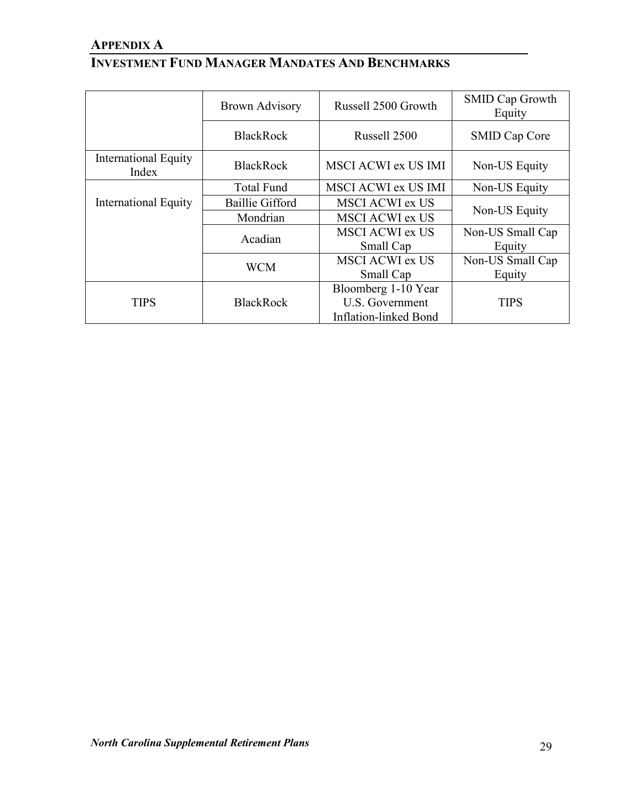# **APPENDIX A**

# **INVESTMENT FUND MANAGER MANDATES AND BENCHMARKS**

|                               | <b>Brown Advisory</b>  | Russell 2500 Growth                 | <b>SMID Cap Growth</b><br>Equity |  |
|-------------------------------|------------------------|-------------------------------------|----------------------------------|--|
|                               | <b>BlackRock</b>       | Russell 2500                        | <b>SMID Cap Core</b>             |  |
| International Equity<br>Index | <b>BlackRock</b>       | MSCI ACWI ex US IMI                 | Non-US Equity                    |  |
|                               | <b>Total Fund</b>      | <b>MSCI ACWI ex US IMI</b>          | Non-US Equity                    |  |
| International Equity          | <b>Baillie Gifford</b> | <b>MSCI ACWI ex US</b>              | Non-US Equity                    |  |
|                               | Mondrian               | <b>MSCI ACWI ex US</b>              |                                  |  |
|                               | Acadian                | <b>MSCI ACWI ex US</b><br>Small Cap | Non-US Small Cap<br>Equity       |  |
|                               | <b>WCM</b>             | <b>MSCI ACWI ex US</b><br>Small Cap | Non-US Small Cap<br>Equity       |  |
|                               |                        | Bloomberg 1-10 Year                 |                                  |  |
| <b>TIPS</b>                   | <b>BlackRock</b>       | U.S. Government                     | <b>TIPS</b>                      |  |
|                               |                        | Inflation-linked Bond               |                                  |  |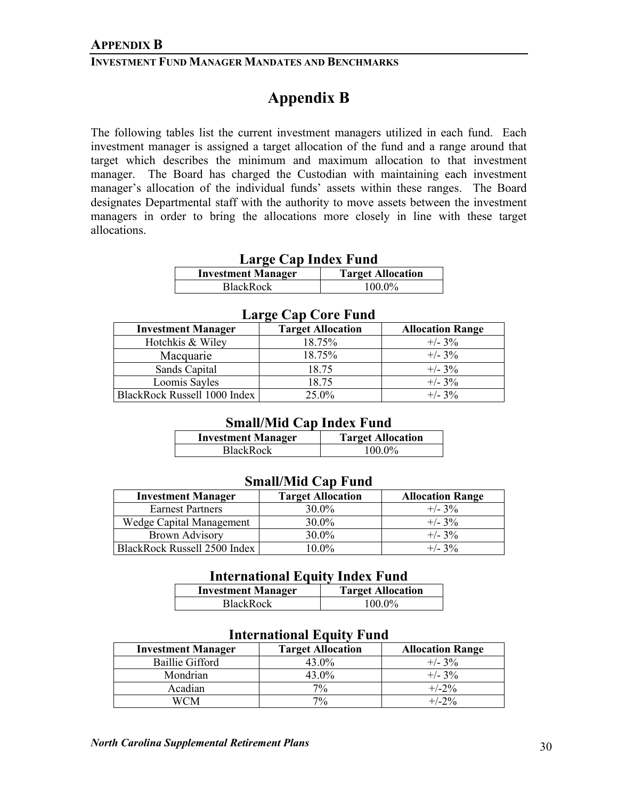#### **INVESTMENT FUND MANAGER MANDATES AND BENCHMARKS**

# **Appendix B**

The following tables list the current investment managers utilized in each fund. Each investment manager is assigned a target allocation of the fund and a range around that target which describes the minimum and maximum allocation to that investment manager. The Board has charged the Custodian with maintaining each investment manager's allocation of the individual funds' assets within these ranges. The Board designates Departmental staff with the authority to move assets between the investment managers in order to bring the allocations more closely in line with these target allocations.

| Large Cap Index Fund                                  |           |  |  |  |
|-------------------------------------------------------|-----------|--|--|--|
| <b>Target Allocation</b><br><b>Investment Manager</b> |           |  |  |  |
| BlackRock                                             | $100.0\%$ |  |  |  |

|                           | <b>Large Cap Core Fund</b> |                         |
|---------------------------|----------------------------|-------------------------|
| <b>Investment Manager</b> | <b>Target Allocation</b>   | <b>Allocation Range</b> |
| Hotchkis & Wiley          | 18.75%                     | $+/- 3\%$               |

Macquarie 18.75% +/- 3%<br>Sands Capital 18.75 +/- 3%

Loomis Sayles  $18.75$   $+/- 3\%$ 

BlackRock Russell 1000 Index 25.0% +/- 3%

## **Small/Mid Cap Index Fund**

| <b>Investment Manager</b> | <b>Target Allocation</b> |
|---------------------------|--------------------------|
| <b>BlackRock</b>          | 100.0%                   |

#### **Small/Mid Cap Fund**

| <b>Investment Manager</b>    | <b>Target Allocation</b> | <b>Allocation Range</b> |
|------------------------------|--------------------------|-------------------------|
| <b>Earnest Partners</b>      | $30.0\%$                 | $+/- 3\%$               |
| Wedge Capital Management     | 30.0%                    | $+/- 3\%$               |
| <b>Brown Advisory</b>        | $30.0\%$                 | $+/- 3\%$               |
| BlackRock Russell 2500 Index | $10.0\%$                 | $+/- 3\%$               |

#### **International Equity Index Fund**

| <b>Investment Manager</b> | <b>Target Allocation</b> |
|---------------------------|--------------------------|
| <b>BlackRock</b>          | 100.0%                   |

| <b>Investment Manager</b> | <b>Target Allocation</b> | <b>Allocation Range</b> |
|---------------------------|--------------------------|-------------------------|
| Baillie Gifford           | 43.0%                    | $+/- 3\%$               |
| Mondrian                  | 43.0%                    | $+/- 3\%$               |
| Acadian                   | $7\%$                    | $+/-2\%$                |
|                           | 7%                       | $+/-2\%$                |

## **International Equity Fund**

Sands Capital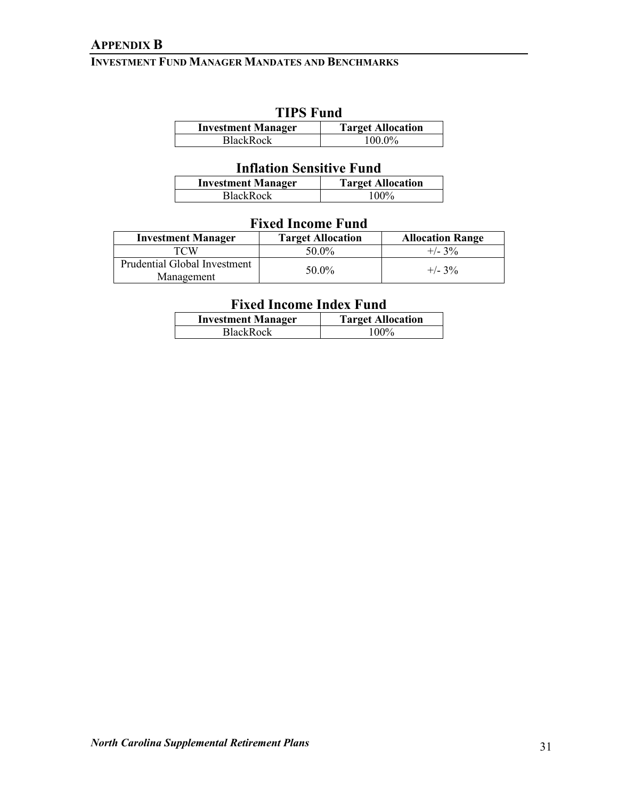## **APPENDIX B**

## **INVESTMENT FUND MANAGER MANDATES AND BENCHMARKS**

# **TIPS Fund**

| <b>Investment Manager</b> | <b>Target Allocation</b> |  |
|---------------------------|--------------------------|--|
| <b>BlackRock</b>          | $100.0\%$                |  |

## **Inflation Sensitive Fund**

| <b>Investment Manager</b> | <b>Target Allocation</b> |  |
|---------------------------|--------------------------|--|
| BlackRock                 | 100%                     |  |

## **Fixed Income Fund**

| <b>Investment Manager</b>                  | <b>Target Allocation</b> | <b>Allocation Range</b> |
|--------------------------------------------|--------------------------|-------------------------|
| TCW                                        | 50.0%                    | $+/- 3\%$               |
| Prudential Global Investment<br>Management | 50.0%                    | $+/- 3\%$               |

# **Fixed Income Index Fund**

| <b>Investment Manager</b> | <b>Target Allocation</b> |
|---------------------------|--------------------------|
| <b>BlackRock</b>          | 100%                     |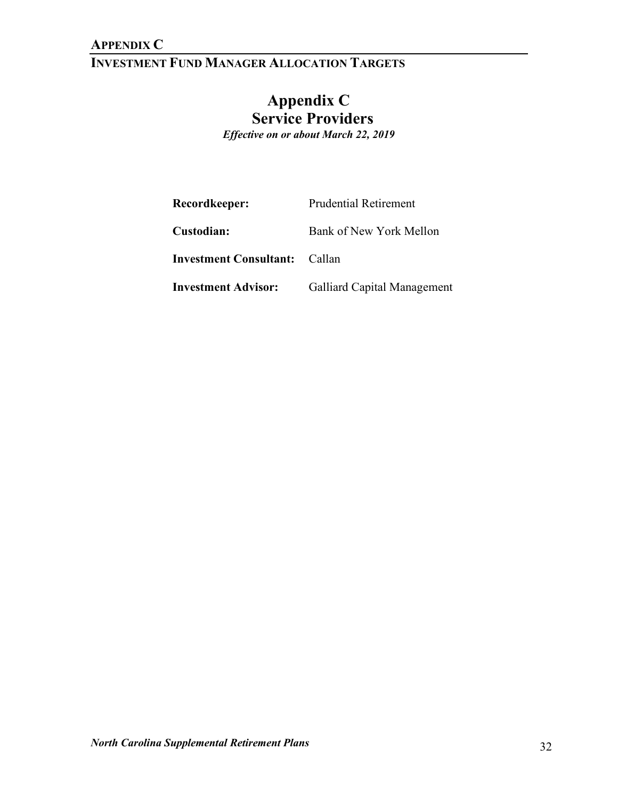# **INVESTMENT FUND MANAGER ALLOCATION TARGETS**

# **Appendix C Service Providers** *Effective on or about March 22, 2019*

| Recordkeeper:                 | Prudential Retirement       |
|-------------------------------|-----------------------------|
| Custodian:                    | Bank of New York Mellon     |
| <b>Investment Consultant:</b> | - Callan                    |
| <b>Investment Advisor:</b>    | Galliard Capital Management |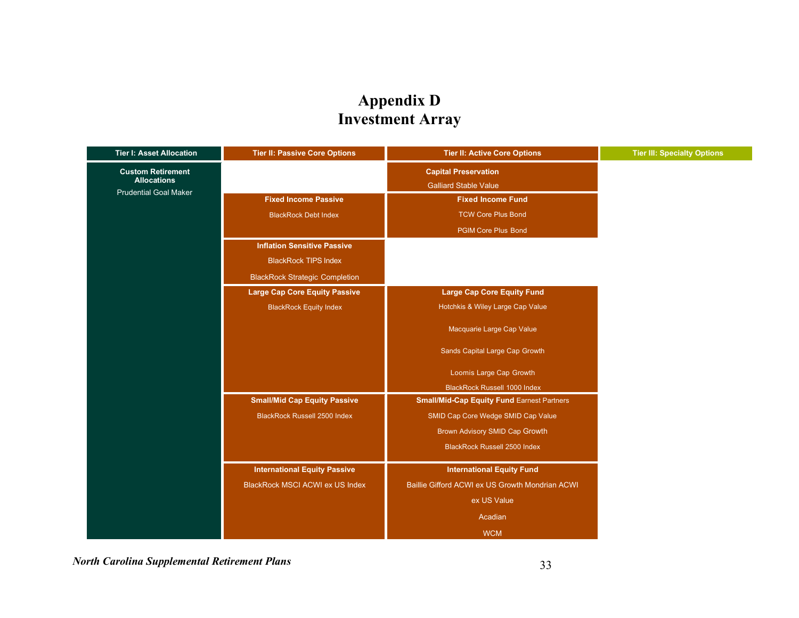# **Appendix D Investment Array**

| <b>Tier I: Asset Allocation</b>                    | <b>Tier II: Passive Core Options</b>   | <b>Tier II: Active Core Options</b>               | <b>Tier III: Specialty Options</b> |
|----------------------------------------------------|----------------------------------------|---------------------------------------------------|------------------------------------|
| <b>Custom Retirement</b>                           |                                        | <b>Capital Preservation</b>                       |                                    |
| <b>Allocations</b><br><b>Prudential Goal Maker</b> |                                        | <b>Galliard Stable Value</b>                      |                                    |
|                                                    | <b>Fixed Income Passive</b>            | <b>Fixed Income Fund</b>                          |                                    |
|                                                    | <b>BlackRock Debt Index</b>            | <b>TCW Core Plus Bond</b>                         |                                    |
|                                                    |                                        | <b>PGIM Core Plus Bond</b>                        |                                    |
|                                                    | <b>Inflation Sensitive Passive</b>     |                                                   |                                    |
|                                                    | <b>BlackRock TIPS Index</b>            |                                                   |                                    |
|                                                    | <b>BlackRock Strategic Completion</b>  |                                                   |                                    |
|                                                    | <b>Large Cap Core Equity Passive</b>   | <b>Large Cap Core Equity Fund</b>                 |                                    |
|                                                    | <b>BlackRock Equity Index</b>          | Hotchkis & Wiley Large Cap Value                  |                                    |
|                                                    |                                        | Macquarie Large Cap Value                         |                                    |
|                                                    |                                        | Sands Capital Large Cap Growth                    |                                    |
|                                                    |                                        | Loomis Large Cap Growth                           |                                    |
|                                                    |                                        | <b>BlackRock Russell 1000 Index</b>               |                                    |
|                                                    | <b>Small/Mid Cap Equity Passive</b>    | <b>Small/Mid-Cap Equity Fund Earnest Partners</b> |                                    |
|                                                    | <b>BlackRock Russell 2500 Index</b>    | SMID Cap Core Wedge SMID Cap Value                |                                    |
|                                                    |                                        | Brown Advisory SMID Cap Growth                    |                                    |
|                                                    |                                        | <b>BlackRock Russell 2500 Index</b>               |                                    |
|                                                    | <b>International Equity Passive</b>    | <b>International Equity Fund</b>                  |                                    |
|                                                    | <b>BlackRock MSCI ACWI ex US Index</b> | Baillie Gifford ACWI ex US Growth Mondrian ACWI   |                                    |
|                                                    |                                        | ex US Value                                       |                                    |
|                                                    |                                        | Acadian                                           |                                    |
|                                                    |                                        | <b>WCM</b>                                        |                                    |

*North Carolina Supplemental Retirement Plans* 33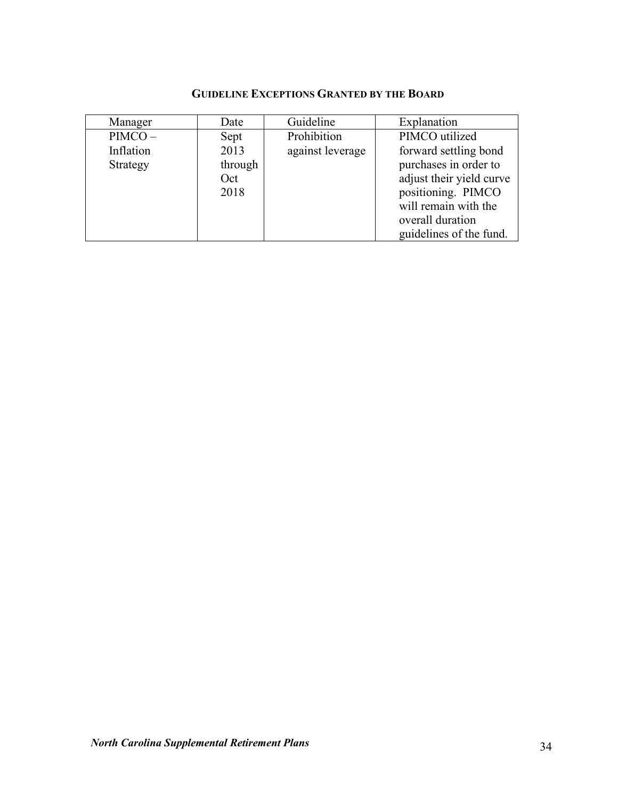## **GUIDELINE EXCEPTIONS GRANTED BY THE BOARD**

| Manager   | Date    | Guideline        | Explanation              |
|-----------|---------|------------------|--------------------------|
| $PIMCO -$ | Sept    | Prohibition      | PIMCO utilized           |
| Inflation | 2013    | against leverage | forward settling bond    |
| Strategy  | through |                  | purchases in order to    |
|           | Oct     |                  | adjust their yield curve |
|           | 2018    |                  | positioning. PIMCO       |
|           |         |                  | will remain with the     |
|           |         |                  | overall duration         |
|           |         |                  | guidelines of the fund.  |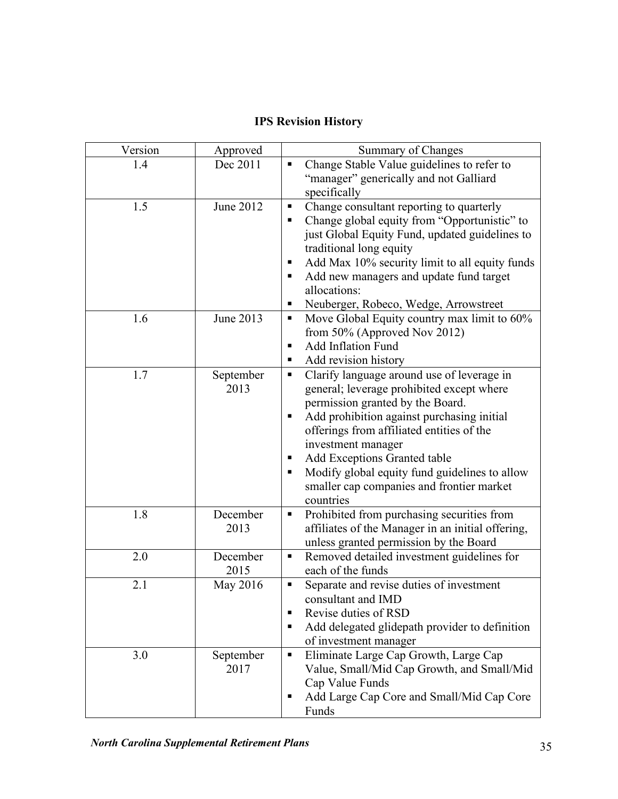# **IPS Revision History**

| Version | Approved          | Summary of Changes                                                                                                                                                                                                                                                                                                                                                                                          |  |
|---------|-------------------|-------------------------------------------------------------------------------------------------------------------------------------------------------------------------------------------------------------------------------------------------------------------------------------------------------------------------------------------------------------------------------------------------------------|--|
| 1.4     | Dec 2011          | Change Stable Value guidelines to refer to<br>п<br>"manager" generically and not Galliard<br>specifically                                                                                                                                                                                                                                                                                                   |  |
| 1.5     | June 2012         | Change consultant reporting to quarterly<br>п<br>Change global equity from "Opportunistic" to<br>٠<br>just Global Equity Fund, updated guidelines to<br>traditional long equity<br>Add Max 10% security limit to all equity funds<br>п<br>Add new managers and update fund target<br>п<br>allocations:<br>Neuberger, Robeco, Wedge, Arrowstreet<br>п                                                        |  |
| 1.6     | June 2013         | Move Global Equity country max limit to 60%<br>п<br>from $50\%$ (Approved Nov 2012)<br><b>Add Inflation Fund</b><br>п<br>Add revision history<br>ш                                                                                                                                                                                                                                                          |  |
| 1.7     | September<br>2013 | Clarify language around use of leverage in<br>٠<br>general; leverage prohibited except where<br>permission granted by the Board.<br>Add prohibition against purchasing initial<br>п<br>offerings from affiliated entities of the<br>investment manager<br>Add Exceptions Granted table<br>ш<br>Modify global equity fund guidelines to allow<br>٠<br>smaller cap companies and frontier market<br>countries |  |
| 1.8     | December<br>2013  | Prohibited from purchasing securities from<br>affiliates of the Manager in an initial offering,<br>unless granted permission by the Board                                                                                                                                                                                                                                                                   |  |
| 2.0     | December<br>2015  | Removed detailed investment guidelines for<br>٠<br>each of the funds                                                                                                                                                                                                                                                                                                                                        |  |
| 2.1     | May 2016          | Separate and revise duties of investment<br>П<br>consultant and IMD<br>Revise duties of RSD<br>٠<br>Add delegated glidepath provider to definition<br>п<br>of investment manager                                                                                                                                                                                                                            |  |
| 3.0     | September<br>2017 | Eliminate Large Cap Growth, Large Cap<br>Ξ<br>Value, Small/Mid Cap Growth, and Small/Mid<br>Cap Value Funds<br>Add Large Cap Core and Small/Mid Cap Core<br>٠<br>Funds                                                                                                                                                                                                                                      |  |